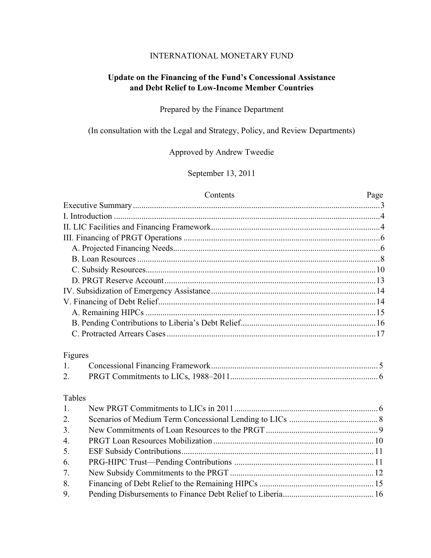### INTERNATIONAL MONETARY FUND

## **Update on the Financing of the Fund's Concessional Assistance and Debt Relief to Low-Income Member Countries**

### Prepared by the Finance Department

(In consultation with the Legal and Strategy, Policy, and Review Departments)

## Approved by Andrew Tweedie

September 13, 2011

#### Contents Page

| Figures          |  |
|------------------|--|
| $1_{\cdot}$      |  |
| 2.               |  |
| Tables           |  |
| 1.               |  |
| 2.               |  |
| 3.               |  |
| $\overline{4}$ . |  |
| 5.               |  |
| 6.               |  |
| 7.               |  |
| 8.               |  |
| 9.               |  |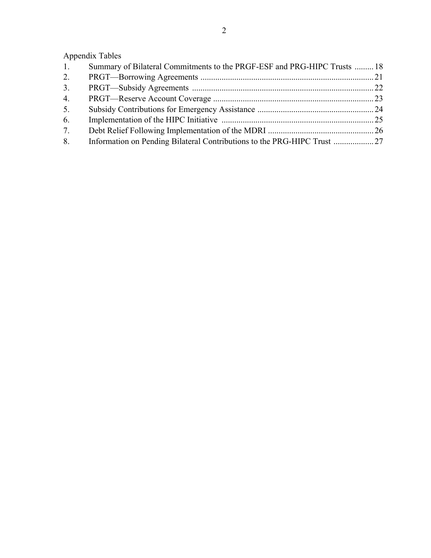# Appendix Tables

| $1_{\cdot}$ | Summary of Bilateral Commitments to the PRGF-ESF and PRG-HIPC Trusts  18 |  |
|-------------|--------------------------------------------------------------------------|--|
| 2.          |                                                                          |  |
| 3.          |                                                                          |  |
| 4.          |                                                                          |  |
| 5.          |                                                                          |  |
| 6.          |                                                                          |  |
| 7.          |                                                                          |  |
| 8.          |                                                                          |  |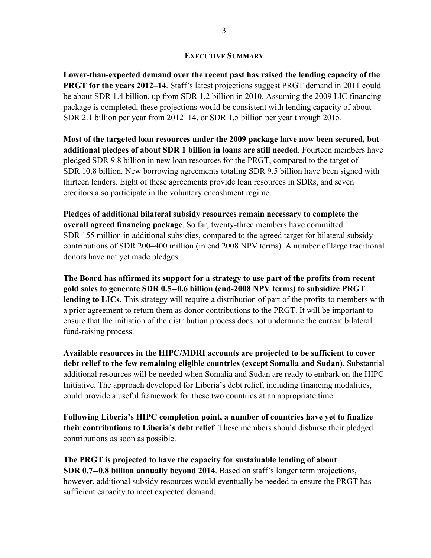#### **EXECUTIVE SUMMARY**

**Lower-than-expected demand over the recent past has raised the lending capacity of the PRGT for the years 2012–14.** Staff's latest projections suggest PRGT demand in 2011 could be about SDR 1.4 billion, up from SDR 1.2 billion in 2010. Assuming the 2009 LIC financing package is completed, these projections would be consistent with lending capacity of about SDR 2.1 billion per year from 2012–14, or SDR 1.5 billion per year through 2015.

**Most of the targeted loan resources under the 2009 package have now been secured, but additional pledges of about SDR 1 billion in loans are still needed**. Fourteen members have pledged SDR 9.8 billion in new loan resources for the PRGT, compared to the target of SDR 10.8 billion. New borrowing agreements totaling SDR 9.5 billion have been signed with thirteen lenders. Eight of these agreements provide loan resources in SDRs, and seven creditors also participate in the voluntary encashment regime.

**Pledges of additional bilateral subsidy resources remain necessary to complete the overall agreed financing package**. So far, twenty-three members have committed SDR 155 million in additional subsidies, compared to the agreed target for bilateral subsidy contributions of SDR 200–400 million (in end 2008 NPV terms). A number of large traditional donors have not yet made pledges.

**The Board has affirmed its support for a strategy to use part of the profits from recent gold sales to generate SDR 0.5-0.6 billion (end-2008 NPV terms) to subsidize PRGT lending to LICs**. This strategy will require a distribution of part of the profits to members with a prior agreement to return them as donor contributions to the PRGT. It will be important to ensure that the initiation of the distribution process does not undermine the current bilateral fund-raising process.

**Available resources in the HIPC/MDRI accounts are projected to be sufficient to cover debt relief to the few remaining eligible countries (except Somalia and Sudan)**. Substantial additional resources will be needed when Somalia and Sudan are ready to embark on the HIPC Initiative. The approach developed for Liberia's debt relief, including financing modalities, could provide a useful framework for these two countries at an appropriate time.

**Following Liberia's HIPC completion point, a number of countries have yet to finalize their contributions to Liberia's debt relief**. These members should disburse their pledged contributions as soon as possible.

**The PRGT is projected to have the capacity for sustainable lending of about SDR 0.7-0.8 billion annually beyond 2014**. Based on staff's longer term projections, however, additional subsidy resources would eventually be needed to ensure the PRGT has sufficient capacity to meet expected demand.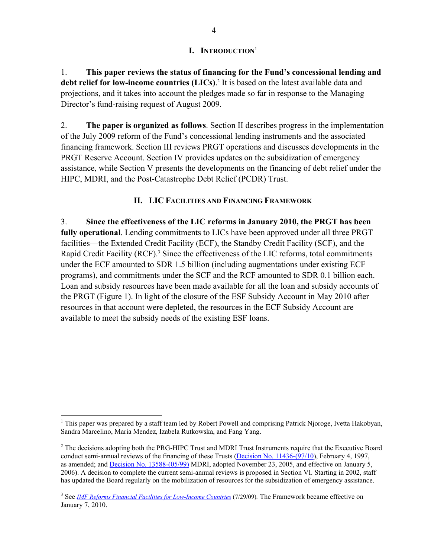### **I. INTRODUCTION**<sup>1</sup>

1. **This paper reviews the status of financing for the Fund's concessional lending and**  debt relief for low-income countries (LICs).<sup>2</sup> It is based on the latest available data and projections, and it takes into account the pledges made so far in response to the Managing Director's fund-raising request of August 2009.

2. **The paper is organized as follows**. Section II describes progress in the implementation of the July 2009 reform of the Fund's concessional lending instruments and the associated financing framework. Section III reviews PRGT operations and discusses developments in the PRGT Reserve Account. Section IV provides updates on the subsidization of emergency assistance, while Section V presents the developments on the financing of debt relief under the HIPC, MDRI, and the Post-Catastrophe Debt Relief (PCDR) Trust.

### **II. LIC FACILITIES AND FINANCING FRAMEWORK**

3. **Since the effectiveness of the LIC reforms in January 2010, the PRGT has been fully operational**. Lending commitments to LICs have been approved under all three PRGT facilities—the Extended Credit Facility (ECF), the Standby Credit Facility (SCF), and the Rapid Credit Facility (RCF).<sup>3</sup> Since the effectiveness of the LIC reforms, total commitments under the ECF amounted to SDR 1.5 billion (including augmentations under existing ECF programs), and commitments under the SCF and the RCF amounted to SDR 0.1 billion each. Loan and subsidy resources have been made available for all the loan and subsidy accounts of the PRGT (Figure 1). In light of the closure of the ESF Subsidy Account in May 2010 after resources in that account were depleted, the resources in the ECF Subsidy Account are available to meet the subsidy needs of the existing ESF loans.

<sup>&</sup>lt;sup>1</sup> This paper was prepared by a staff team led by Robert Powell and comprising Patrick Njoroge, Ivetta Hakobyan, Sandra Marcelino, Maria Mendez, Izabela Rutkowska, and Fang Yang.

 $2$  The decisions adopting both the PRG-HIPC Trust and MDRI Trust Instruments require that the Executive Board conduct semi-annual reviews of the financing of these Trusts (Decision No. 11436-(97/10), February 4, 1997, as amended; and **Decision No. 13588-(05/99)** MDRI, adopted November 23, 2005, and effective on January 5, 2006). A decision to complete the current semi-annual reviews is proposed in Section VI. Starting in 2002, staff has updated the Board regularly on the mobilization of resources for the subsidization of emergency assistance.

<sup>&</sup>lt;sup>3</sup> See *IMF Reforms Financial Facilities for Low-Income Countries* (7/29/09). The Framework became effective on January 7, 2010.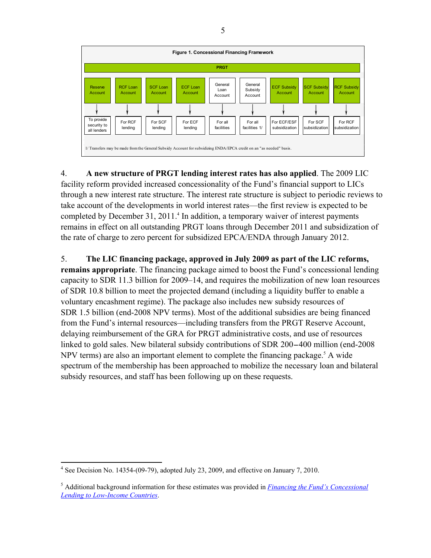

4. **A new structure of PRGT lending interest rates has also applied**. The 2009 LIC facility reform provided increased concessionality of the Fund's financial support to LICs through a new interest rate structure. The interest rate structure is subject to periodic reviews to take account of the developments in world interest rates—the first review is expected to be completed by December 31, 2011.<sup>4</sup> In addition, a temporary waiver of interest payments remains in effect on all outstanding PRGT loans through December 2011 and subsidization of the rate of charge to zero percent for subsidized EPCA/ENDA through January 2012.

### 5. **The LIC financing package, approved in July 2009 as part of the LIC reforms,**

**remains appropriate**. The financing package aimed to boost the Fund's concessional lending capacity to SDR 11.3 billion for 2009–14, and requires the mobilization of new loan resources of SDR 10.8 billion to meet the projected demand (including a liquidity buffer to enable a voluntary encashment regime). The package also includes new subsidy resources of SDR 1.5 billion (end-2008 NPV terms). Most of the additional subsidies are being financed from the Fund's internal resources—including transfers from the PRGT Reserve Account, delaying reimbursement of the GRA for PRGT administrative costs, and use of resources linked to gold sales. New bilateral subsidy contributions of SDR 200-400 million (end-2008 NPV terms) are also an important element to complete the financing package.<sup>5</sup> A wide spectrum of the membership has been approached to mobilize the necessary loan and bilateral subsidy resources, and staff has been following up on these requests.

<sup>&</sup>lt;sup>4</sup> See Decision No. 14354-(09-79), adopted July 23, 2009, and effective on January 7, 2010.

<sup>5</sup> Additional background information for these estimates was provided in *Financing the Fund's Concessional Lending to Low-Income Countries*.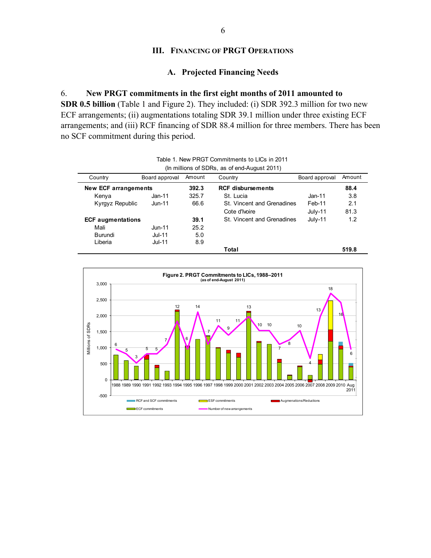### **III. FINANCING OF PRGT OPERATIONS**

### **A. Projected Financing Needs**

#### 6. **New PRGT commitments in the first eight months of 2011 amounted to**

**SDR 0.5 billion** (Table 1 and Figure 2). They included: (i) SDR 392.3 million for two new ECF arrangements; (ii) augmentations totaling SDR 39.1 million under three existing ECF arrangements; and (iii) RCF financing of SDR 88.4 million for three members. There has been no SCF commitment during this period.

| Country                  | Board approval | Amount | Country                    | Board approval | Amount |  |  |  |
|--------------------------|----------------|--------|----------------------------|----------------|--------|--|--|--|
| New ECF arrangements     |                | 392.3  | <b>RCF disbursements</b>   |                | 88.4   |  |  |  |
| Kenya                    | $Jan-11$       | 325.7  | St. Lucia                  | Jan-11         | 3.8    |  |  |  |
| Kyrgyz Republic          | $Jun-11$       | 66.6   | St. Vincent and Grenadines | Feb-11         | 2.1    |  |  |  |
|                          |                |        | Cote d'Ivoire              | July-11        | 81.3   |  |  |  |
| <b>ECF</b> augmentations |                | 39.1   | St. Vincent and Grenadines | $July-11$      | 1.2    |  |  |  |
| Mali                     | $Jun-11$       | 25.2   |                            |                |        |  |  |  |
| <b>Burundi</b>           | $Jul-11$       | 5.0    |                            |                |        |  |  |  |
| Liberia                  | $Jul-11$       | 8.9    |                            |                |        |  |  |  |
|                          |                |        | Total                      |                | 519.8  |  |  |  |
|                          |                |        |                            |                |        |  |  |  |

Table 1. New PRGT Commitments to LICs in 2011 (In millions of SDRs, as of end-August 2011)

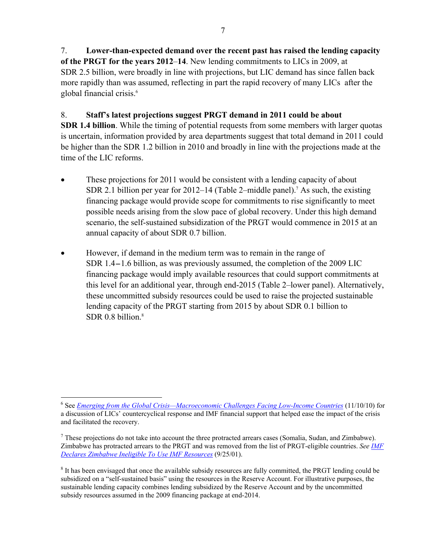7. **Lower-than-expected demand over the recent past has raised the lending capacity of the PRGT for the years 2012**–**14**. New lending commitments to LICs in 2009, at SDR 2.5 billion, were broadly in line with projections, but LIC demand has since fallen back more rapidly than was assumed, reflecting in part the rapid recovery of many LICs after the global financial crisis.<sup>6</sup>

8. **Staff's latest projections suggest PRGT demand in 2011 could be about SDR 1.4 billion**. While the timing of potential requests from some members with larger quotas is uncertain, information provided by area departments suggest that total demand in 2011 could be higher than the SDR 1.2 billion in 2010 and broadly in line with the projections made at the time of the LIC reforms.

- These projections for 2011 would be consistent with a lending capacity of about SDR 2.1 billion per year for  $2012-14$  (Table 2–middle panel).<sup>7</sup> As such, the existing financing package would provide scope for commitments to rise significantly to meet possible needs arising from the slow pace of global recovery. Under this high demand scenario, the self-sustained subsidization of the PRGT would commence in 2015 at an annual capacity of about SDR 0.7 billion.
- However, if demand in the medium term was to remain in the range of SDR 1.4-1.6 billion, as was previously assumed, the completion of the 2009 LIC financing package would imply available resources that could support commitments at this level for an additional year, through end-2015 (Table 2–lower panel). Alternatively, these uncommitted subsidy resources could be used to raise the projected sustainable lending capacity of the PRGT starting from 2015 by about SDR 0.1 billion to SDR  $0.8$  billion.<sup>8</sup>

<sup>6</sup> See *Emerging from the Global Crisis—Macroeconomic Challenges Facing Low-Income Countries* (11/10/10) for a discussion of LICs' countercyclical response and IMF financial support that helped ease the impact of the crisis and facilitated the recovery.

 $^7$  These projections do not take into account the three protracted arrears cases (Somalia, Sudan, and Zimbabwe). Zimbabwe has protracted arrears to the PRGT and was removed from the list of PRGT-eligible countries. *See IMF Declares Zimbabwe Ineligible To Use IMF Resources* (9/25/01).

 $8$  It has been envisaged that once the available subsidy resources are fully committed, the PRGT lending could be subsidized on a "self-sustained basis" using the resources in the Reserve Account. For illustrative purposes, the sustainable lending capacity combines lending subsidized by the Reserve Account and by the uncommitted subsidy resources assumed in the 2009 financing package at end-2014.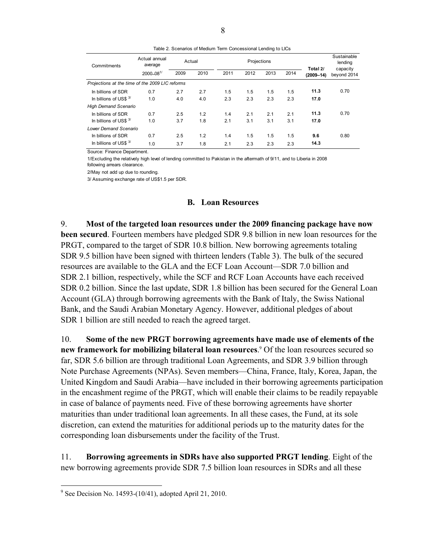Table 2. Scenarios of Medium Term Concessional Lending to LICs

| Commitments                  | Actual annual<br>average                        |      | Actual |      | Projections |      |      | Total 2/      | Sustainable<br>lending<br>capacity |
|------------------------------|-------------------------------------------------|------|--------|------|-------------|------|------|---------------|------------------------------------|
|                              | 2000-081/                                       | 2009 | 2010   | 2011 | 2012        | 2013 | 2014 | $(2009 - 14)$ | beyond 2014                        |
|                              | Projections at the time of the 2009 LIC reforms |      |        |      |             |      |      |               |                                    |
| In billions of SDR           | 0.7                                             | 2.7  | 2.7    | 1.5  | 1.5         | 1.5  | 1.5  | 11.3          | 0.70                               |
| In billions of US\$ $3/$     | 1.0                                             | 4.0  | 4.0    | 2.3  | 2.3         | 2.3  | 2.3  | 17.0          |                                    |
| <b>High Demand Scenario</b>  |                                                 |      |        |      |             |      |      |               |                                    |
| In billions of SDR           | 0.7                                             | 2.5  | 1.2    | 1.4  | 2.1         | 2.1  | 2.1  | 11.3          | 0.70                               |
| In billions of US\$ $3/$     | 1.0                                             | 3.7  | 1.8    | 2.1  | 3.1         | 3.1  | 3.1  | 17.0          |                                    |
| <b>Lower Demand Scenario</b> |                                                 |      |        |      |             |      |      |               |                                    |
| In billions of SDR           | 0.7                                             | 2.5  | 1.2    | 1.4  | 1.5         | 1.5  | 1.5  | 9.6           | 0.80                               |
| In billions of US\$ $3/$     | 1.0                                             | 3.7  | 1.8    | 2.1  | 2.3         | 2.3  | 2.3  | 14.3          |                                    |

Source: Finance Department.

1/Excluding the relatively high level of lending committed to Pakistan in the aftermath of 9/11, and to Liberia in 2008 following arrears clearance.

2/May not add up due to rounding.

3/ Assuming exchange rate of US\$1.5 per SDR.

#### **B. Loan Resources**

9. **Most of the targeted loan resources under the 2009 financing package have now been secured**. Fourteen members have pledged SDR 9.8 billion in new loan resources for the PRGT, compared to the target of SDR 10.8 billion. New borrowing agreements totaling SDR 9.5 billion have been signed with thirteen lenders (Table 3). The bulk of the secured resources are available to the GLA and the ECF Loan Account—SDR 7.0 billion and SDR 2.1 billion, respectively, while the SCF and RCF Loan Accounts have each received SDR 0.2 billion. Since the last update, SDR 1.8 billion has been secured for the General Loan Account (GLA) through borrowing agreements with the Bank of Italy, the Swiss National Bank, and the Saudi Arabian Monetary Agency. However, additional pledges of about SDR 1 billion are still needed to reach the agreed target.

10. **Some of the new PRGT borrowing agreements have made use of elements of the new framework for mobilizing bilateral loan resources**. 9 Of the loan resources secured so far, SDR 5.6 billion are through traditional Loan Agreements, and SDR 3.9 billion through Note Purchase Agreements (NPAs). Seven members—China, France, Italy, Korea, Japan, the United Kingdom and Saudi Arabia—have included in their borrowing agreements participation in the encashment regime of the PRGT, which will enable their claims to be readily repayable in case of balance of payments need. Five of these borrowing agreements have shorter maturities than under traditional loan agreements. In all these cases, the Fund, at its sole discretion, can extend the maturities for additional periods up to the maturity dates for the corresponding loan disbursements under the facility of the Trust.

11. **Borrowing agreements in SDRs have also supported PRGT lending**. Eight of the new borrowing agreements provide SDR 7.5 billion loan resources in SDRs and all these

<sup>&</sup>lt;sup>9</sup> See Decision No. 14593-(10/41), adopted April 21, 2010.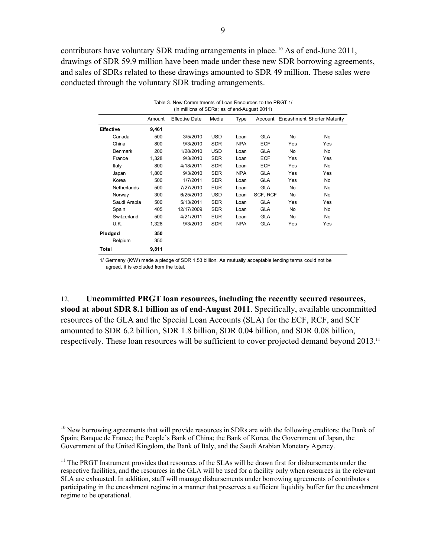contributors have voluntary SDR trading arrangements in place. 10 As of end-June 2011, drawings of SDR 59.9 million have been made under these new SDR borrowing agreements, and sales of SDRs related to these drawings amounted to SDR 49 million. These sales were conducted through the voluntary SDR trading arrangements.

|                  | (In millions of SDRs; as of end-August 2011) |                       |            |            |            |           |                                     |
|------------------|----------------------------------------------|-----------------------|------------|------------|------------|-----------|-------------------------------------|
|                  | Amount                                       | <b>Effective Date</b> | Media      | Type       |            |           | Account Encashment Shorter Maturity |
| <b>Effective</b> | 9,461                                        |                       |            |            |            |           |                                     |
| Canada           | 500                                          | 3/5/2010              | <b>USD</b> | Loan       | <b>GLA</b> | No        | No.                                 |
| China            | 800                                          | 9/3/2010              | <b>SDR</b> | <b>NPA</b> | <b>ECF</b> | Yes       | Yes                                 |
| Denmark          | 200                                          | 1/28/2010             | <b>USD</b> | Loan       | GLA        | <b>No</b> | No                                  |
| France           | 1,328                                        | 9/3/2010              | <b>SDR</b> | Loan       | <b>ECF</b> | Yes       | Yes                                 |
| Italy            | 800                                          | 4/18/2011             | <b>SDR</b> | Loan       | <b>ECF</b> | Yes       | No                                  |
| Japan            | 1,800                                        | 9/3/2010              | <b>SDR</b> | <b>NPA</b> | <b>GLA</b> | Yes       | Yes                                 |
| Korea            | 500                                          | 1/7/2011              | <b>SDR</b> | Loan       | <b>GLA</b> | Yes       | <b>No</b>                           |
| Netherlands      | 500                                          | 7/27/2010             | <b>EUR</b> | Loan       | <b>GLA</b> | No        | <b>No</b>                           |
| Norway           | 300                                          | 6/25/2010             | <b>USD</b> | Loan       | SCF, RCF   | No        | No                                  |
| Saudi Arabia     | 500                                          | 5/13/2011             | <b>SDR</b> | Loan       | <b>GLA</b> | Yes       | Yes                                 |
| Spain            | 405                                          | 12/17/2009            | <b>SDR</b> | Loan       | <b>GLA</b> | No        | No                                  |
| Switzerland      | 500                                          | 4/21/2011             | <b>EUR</b> | Loan       | <b>GLA</b> | No        | <b>No</b>                           |
| U.K.             | 1,328                                        | 9/3/2010              | <b>SDR</b> | <b>NPA</b> | <b>GLA</b> | Yes       | Yes                                 |
| Pledged          | 350                                          |                       |            |            |            |           |                                     |
| Belgium          | 350                                          |                       |            |            |            |           |                                     |
| Total            | 9,811                                        |                       |            |            |            |           |                                     |

| Table 3. New Commitments of Loan Resources to the PRGT 1/ |  |
|-----------------------------------------------------------|--|
| (In millions of SDRs; as of end-August 2011)              |  |

1/ Germany (KfW) made a pledge of SDR 1.53 billion. As mutually acceptable lending terms could not be agreed, it is excluded from the total.

12. **Uncommitted PRGT loan resources, including the recently secured resources, stood at about SDR 8.1 billion as of end-August 2011**. Specifically, available uncommitted resources of the GLA and the Special Loan Accounts (SLA) for the ECF, RCF, and SCF amounted to SDR 6.2 billion, SDR 1.8 billion, SDR 0.04 billion, and SDR 0.08 billion, respectively. These loan resources will be sufficient to cover projected demand beyond 2013.<sup>11</sup>

 $10$  New borrowing agreements that will provide resources in SDRs are with the following creditors: the Bank of Spain; Banque de France; the People's Bank of China; the Bank of Korea, the Government of Japan, the Government of the United Kingdom, the Bank of Italy, and the Saudi Arabian Monetary Agency.

<sup>&</sup>lt;sup>11</sup> The PRGT Instrument provides that resources of the SLAs will be drawn first for disbursements under the respective facilities, and the resources in the GLA will be used for a facility only when resources in the relevant SLA are exhausted. In addition, staff will manage disbursements under borrowing agreements of contributors participating in the encashment regime in a manner that preserves a sufficient liquidity buffer for the encashment regime to be operational.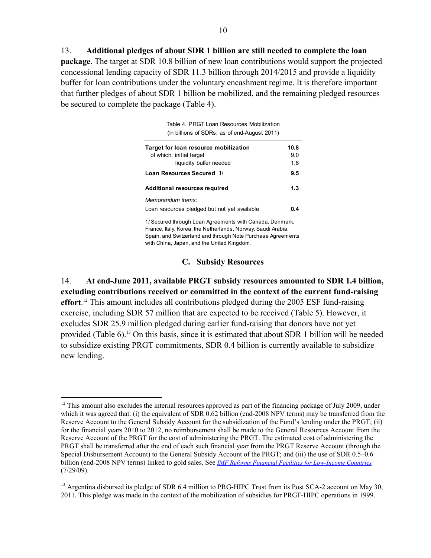13. **Additional pledges of about SDR 1 billion are still needed to complete the loan package**. The target at SDR 10.8 billion of new loan contributions would support the projected concessional lending capacity of SDR 11.3 billion through 2014/2015 and provide a liquidity buffer for loan contributions under the voluntary encashment regime. It is therefore important that further pledges of about SDR 1 billion be mobilized, and the remaining pledged resources be secured to complete the package (Table 4).

> Table 4. PRGT Loan Resources Mobilization (In billions of SDRs; as of end-August 2011)

| Target for loan resource mobilization        | 10.8 |
|----------------------------------------------|------|
| of which: initial target                     | 90   |
| liquidity buffer needed                      | 1.8  |
| Loan Resources Secured 1/                    | 9.5  |
| Additional resources required                | 1.3  |
| Memorandum items:                            |      |
| Loan resources pledged but not yet available | 0 A  |
|                                              |      |

1/ Secured through Loan Agreements with Canada, Denmark, France, Italy, Korea, the Netherlands, Norway, Saudi Arabia, Spain, and Switzerland and through Note Purchase Agreements with China, Japan, and the United Kingdom.

#### **C. Subsidy Resources**

14. **At end-June 2011, available PRGT subsidy resources amounted to SDR 1.4 billion, excluding contributions received or committed in the context of the current fund-raising effort**. 12 This amount includes all contributions pledged during the 2005 ESF fund-raising exercise, including SDR 57 million that are expected to be received (Table 5). However, it excludes SDR 25.9 million pledged during earlier fund-raising that donors have not yet provided (Table 6).13 On this basis, since it is estimated that about SDR 1 billion will be needed to subsidize existing PRGT commitments, SDR 0.4 billion is currently available to subsidize new lending.

 $\overline{a}$  $12$  This amount also excludes the internal resources approved as part of the financing package of July 2009, under which it was agreed that: (i) the equivalent of SDR 0.62 billion (end-2008 NPV terms) may be transferred from the Reserve Account to the General Subsidy Account for the subsidization of the Fund's lending under the PRGT; (ii) for the financial years 2010 to 2012, no reimbursement shall be made to the General Resources Account from the Reserve Account of the PRGT for the cost of administering the PRGT. The estimated cost of administering the PRGT shall be transferred after the end of each such financial year from the PRGT Reserve Account (through the Special Disbursement Account) to the General Subsidy Account of the PRGT; and (iii) the use of SDR 0.5–0.6 billion (end-2008 NPV terms) linked to gold sales. See *IMF Reforms Financial Facilities for Low-Income Countries*  $(7/29/09)$ .

<sup>&</sup>lt;sup>13</sup> Argentina disbursed its pledge of SDR 6.4 million to PRG-HIPC Trust from its Post SCA-2 account on May 30, 2011. This pledge was made in the context of the mobilization of subsidies for PRGF-HIPC operations in 1999.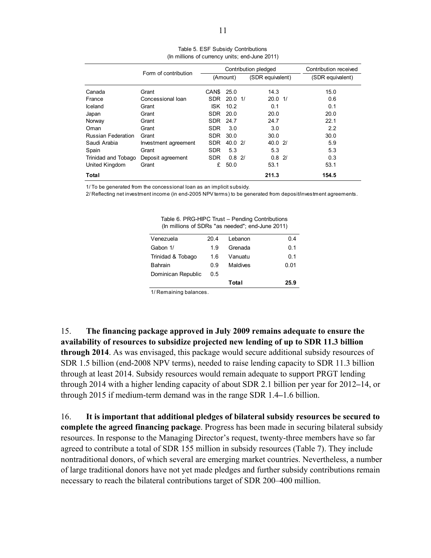|                           | Form of contribution |                   | Contribution pledged |  |                    | Contribution received |
|---------------------------|----------------------|-------------------|----------------------|--|--------------------|-----------------------|
|                           |                      |                   | (Amount)             |  | (SDR equivalent)   | (SDR equivalent)      |
| Canada                    | Grant                | CAN <sub>\$</sub> | 25.0                 |  | 14.3               | 15.0                  |
| France                    | Concessional Ioan    | SDR               | $20.0 \frac{1}{2}$   |  | $20.0 \frac{1}{2}$ | 0.6                   |
| Iceland                   | Grant                | <b>ISK</b>        | 10.2                 |  | 0.1                | 0.1                   |
| Japan                     | Grant                | <b>SDR</b>        | 20.0                 |  | 20.0               | 20.0                  |
| Norway                    | Grant                | SDR               | 24.7                 |  | 24.7               | 22.1                  |
| Oman                      | Grant                | <b>SDR</b>        | 3.0                  |  | 3.0                | 2.2                   |
| <b>Russian Federation</b> | Grant                | <b>SDR</b>        | 30.0                 |  | 30.0               | 30.0                  |
| Saudi Arabia              | Investment agreement | SDR               | 40.0 2/              |  | 40.02              | 5.9                   |
| Spain                     | Grant                | <b>SDR</b>        | 5.3                  |  | 5.3                | 5.3                   |
| Trinidad and Tobago       | Deposit agreement    | <b>SDR</b>        | $0.8$ 2/             |  | $0.8$ 2/           | 0.3                   |
| United Kingdom            | Grant                | £                 | 50.0                 |  | 53.1               | 53.1                  |
| Total                     |                      |                   |                      |  | 211.3              | 154.5                 |

Table 5. ESF Subsidy Contributions (In millions of currency units; end-June 2011)

1/ To be generated from the concessional loan as an implicit subsidy.

2/ Reflecting net investment income (in end-2005 NPV terms) to be generated from deposit/investment agreements.

| $\frac{1}{10}$ in $\frac{1}{10}$ is the series as recucult critically controlled $\frac{1}{10}$ |      |          |      |
|-------------------------------------------------------------------------------------------------|------|----------|------|
| Venezuela                                                                                       | 20.4 | Lebanon  | 0.4  |
| Gabon 1/                                                                                        | 1.9  | Grenada  | 0.1  |
| Trinidad & Tobago                                                                               | 1.6  | Vanuatu  | 0.1  |
| <b>Bahrain</b>                                                                                  | 0.9  | Maldives | 0.01 |
| Dominican Republic                                                                              | 0.5  |          |      |
|                                                                                                 |      | Total    | 25.9 |
|                                                                                                 |      |          |      |

Table 6. PRG-HIPC Trust – Pending Contributions (In millions of SDRs "as needed"; end-June 2011)

1/ Remaining balances.

15. **The financing package approved in July 2009 remains adequate to ensure the availability of resources to subsidize projected new lending of up to SDR 11.3 billion through 2014**. As was envisaged, this package would secure additional subsidy resources of SDR 1.5 billion (end-2008 NPV terms), needed to raise lending capacity to SDR 11.3 billion through at least 2014. Subsidy resources would remain adequate to support PRGT lending through 2014 with a higher lending capacity of about SDR 2.1 billion per year for 2012**–**14, or through 2015 if medium-term demand was in the range SDR 1.4**–**1.6 billion.

16. **It is important that additional pledges of bilateral subsidy resources be secured to complete the agreed financing package**. Progress has been made in securing bilateral subsidy resources. In response to the Managing Director's request, twenty-three members have so far agreed to contribute a total of SDR 155 million in subsidy resources (Table 7). They include nontraditional donors, of which several are emerging market countries. Nevertheless, a number of large traditional donors have not yet made pledges and further subsidy contributions remain necessary to reach the bilateral contributions target of SDR 200–400 million.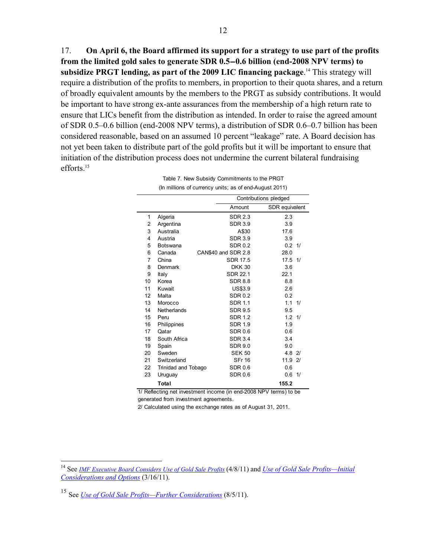17. **On April 6, the Board affirmed its support for a strategy to use part of the profits from the limited gold sales to generate SDR 0.5-0.6 billion (end-2008 NPV terms) to subsidize PRGT lending, as part of the 2009 LIC financing package**. 14 This strategy will require a distribution of the profits to members, in proportion to their quota shares, and a return of broadly equivalent amounts by the members to the PRGT as subsidy contributions. It would be important to have strong ex-ante assurances from the membership of a high return rate to ensure that LICs benefit from the distribution as intended. In order to raise the agreed amount of SDR 0.5–0.6 billion (end-2008 NPV terms), a distribution of SDR 0.6–0.7 billion has been considered reasonable, based on an assumed 10 percent "leakage" rate. A Board decision has not yet been taken to distribute part of the gold profits but it will be important to ensure that initiation of the distribution process does not undermine the current bilateral fundraising efforts<sup>15</sup>

| (In millions of currency units; as of end-August 2011) |                          |                       |                   |    |  |  |  |  |
|--------------------------------------------------------|--------------------------|-----------------------|-------------------|----|--|--|--|--|
|                                                        |                          | Contributions pledged |                   |    |  |  |  |  |
|                                                        | Amount<br>SDR equivalent |                       |                   |    |  |  |  |  |
| 1                                                      | Algeria                  | <b>SDR 2.3</b>        | 2.3               |    |  |  |  |  |
| 2                                                      | Argentina                | <b>SDR 3.9</b>        | 3.9               |    |  |  |  |  |
| 3                                                      | Australia                | A\$30                 | 17.6              |    |  |  |  |  |
| 4                                                      | Austria                  | <b>SDR 3.9</b>        | 3.9               |    |  |  |  |  |
| 5                                                      | <b>Botswana</b>          | <b>SDR 0.2</b>        | $0.2 \frac{1}{2}$ |    |  |  |  |  |
| 6                                                      | Canada                   | CAN\$40 and SDR 2.8   | 28.0              |    |  |  |  |  |
| 7                                                      | China                    | <b>SDR 17.5</b>       | 17.5              | 1/ |  |  |  |  |
| 8                                                      | Denmark                  | <b>DKK 30</b>         | 3.6               |    |  |  |  |  |
| 9                                                      | Italy                    | SDR 22.1              | 22.1              |    |  |  |  |  |
| 10                                                     | Korea                    | <b>SDR 8.8</b>        | 8.8               |    |  |  |  |  |
| 11                                                     | Kuwait                   | <b>US\$3.9</b>        | 2.6               |    |  |  |  |  |
| 12                                                     | Malta                    | <b>SDR0.2</b>         | 0.2               |    |  |  |  |  |
| 13                                                     | Morocco                  | <b>SDR 1.1</b>        | 1.1               | 1/ |  |  |  |  |
| 14                                                     | Netherlands              | <b>SDR 9.5</b>        | 9.5               |    |  |  |  |  |
| 15                                                     | Peru                     | <b>SDR 1.2</b>        | $1.2 \frac{1}{2}$ |    |  |  |  |  |
| 16                                                     | Philippines              | <b>SDR 1.9</b>        | 1.9               |    |  |  |  |  |
| 17                                                     | Qatar                    | <b>SDR 0.6</b>        | 0.6               |    |  |  |  |  |
| 18                                                     | South Africa             | <b>SDR 3.4</b>        | 3.4               |    |  |  |  |  |
| 19                                                     | Spain                    | <b>SDR 9.0</b>        | 9.0               |    |  |  |  |  |
| 20                                                     | Sweden                   | <b>SEK 50</b>         | 4.8               | 21 |  |  |  |  |
| 21                                                     | Switzerland              | <b>SFr 16</b>         | 11.9              | 21 |  |  |  |  |
| 22                                                     | Trinidad and Tobago      | <b>SDR 0.6</b>        | 0.6               |    |  |  |  |  |
| 23                                                     | Uruguay                  | <b>SDR 0.6</b>        | 0.6               | 1/ |  |  |  |  |
|                                                        | Total                    |                       | 155.2             |    |  |  |  |  |

Table 7. New Subsidy Commitments to the PRGT

1/ Reflecting net investment income (in end-2008 NPV terms) to be generated from investment agreements.

2/ Calculated using the exchange rates as of August 31, 2011.

<sup>15</sup> See *Use of Gold Sale Profits—Further Considerations* (8/5/11).

<sup>14</sup> See *IMF Executive Board Considers Use of Gold Sale Profits* (4/8/11) and *Use of Gold Sale Profits—Initial Considerations and Options* (3/16/11).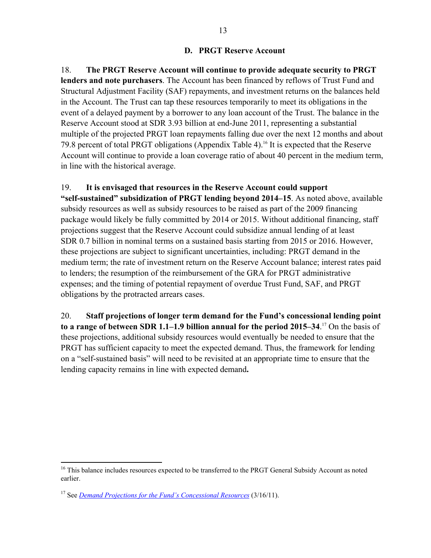18. **The PRGT Reserve Account will continue to provide adequate security to PRGT lenders and note purchasers**. The Account has been financed by reflows of Trust Fund and Structural Adjustment Facility (SAF) repayments, and investment returns on the balances held in the Account. The Trust can tap these resources temporarily to meet its obligations in the event of a delayed payment by a borrower to any loan account of the Trust. The balance in the Reserve Account stood at SDR 3.93 billion at end-June 2011, representing a substantial multiple of the projected PRGT loan repayments falling due over the next 12 months and about 79.8 percent of total PRGT obligations (Appendix Table 4).<sup>16</sup> It is expected that the Reserve Account will continue to provide a loan coverage ratio of about 40 percent in the medium term, in line with the historical average.

### 19. **It is envisaged that resources in the Reserve Account could support**

**"self-sustained" subsidization of PRGT lending beyond 2014–15**. As noted above, available subsidy resources as well as subsidy resources to be raised as part of the 2009 financing package would likely be fully committed by 2014 or 2015. Without additional financing, staff projections suggest that the Reserve Account could subsidize annual lending of at least SDR 0.7 billion in nominal terms on a sustained basis starting from 2015 or 2016. However, these projections are subject to significant uncertainties, including: PRGT demand in the medium term; the rate of investment return on the Reserve Account balance; interest rates paid to lenders; the resumption of the reimbursement of the GRA for PRGT administrative expenses; and the timing of potential repayment of overdue Trust Fund, SAF, and PRGT obligations by the protracted arrears cases.

20. **Staff projections of longer term demand for the Fund's concessional lending point to a range of between SDR 1.1–1.9 billion annual for the period 2015–34**. 17 On the basis of these projections, additional subsidy resources would eventually be needed to ensure that the PRGT has sufficient capacity to meet the expected demand. Thus, the framework for lending on a "self-sustained basis" will need to be revisited at an appropriate time to ensure that the lending capacity remains in line with expected demand**.** 

<sup>&</sup>lt;sup>16</sup> This balance includes resources expected to be transferred to the PRGT General Subsidy Account as noted earlier.

<sup>17</sup> See *Demand Projections for the Fund's Concessional Resources* (3/16/11).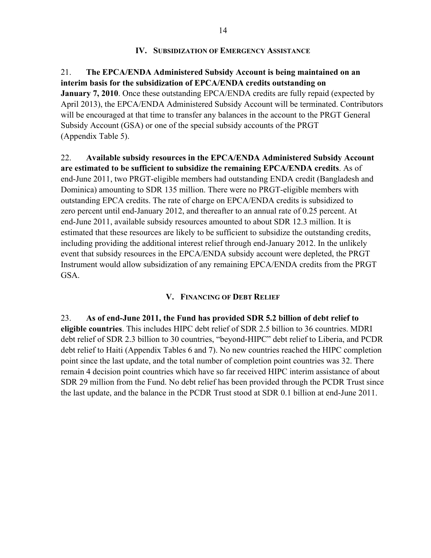### **IV. SUBSIDIZATION OF EMERGENCY ASSISTANCE**

21. **The EPCA/ENDA Administered Subsidy Account is being maintained on an interim basis for the subsidization of EPCA/ENDA credits outstanding on January 7, 2010**. Once these outstanding EPCA/ENDA credits are fully repaid (expected by April 2013), the EPCA/ENDA Administered Subsidy Account will be terminated. Contributors will be encouraged at that time to transfer any balances in the account to the PRGT General Subsidy Account (GSA) or one of the special subsidy accounts of the PRGT (Appendix Table 5).

22. **Available subsidy resources in the EPCA/ENDA Administered Subsidy Account are estimated to be sufficient to subsidize the remaining EPCA/ENDA credits**. As of end-June 2011, two PRGT-eligible members had outstanding ENDA credit (Bangladesh and Dominica) amounting to SDR 135 million. There were no PRGT-eligible members with outstanding EPCA credits. The rate of charge on EPCA/ENDA credits is subsidized to zero percent until end-January 2012, and thereafter to an annual rate of 0.25 percent. At end-June 2011, available subsidy resources amounted to about SDR 12.3 million. It is estimated that these resources are likely to be sufficient to subsidize the outstanding credits, including providing the additional interest relief through end-January 2012. In the unlikely event that subsidy resources in the EPCA/ENDA subsidy account were depleted, the PRGT Instrument would allow subsidization of any remaining EPCA/ENDA credits from the PRGT GSA.

### **V. FINANCING OF DEBT RELIEF**

23. **As of end-June 2011, the Fund has provided SDR 5.2 billion of debt relief to eligible countries**. This includes HIPC debt relief of SDR 2.5 billion to 36 countries. MDRI debt relief of SDR 2.3 billion to 30 countries, "beyond-HIPC" debt relief to Liberia, and PCDR debt relief to Haiti (Appendix Tables 6 and 7). No new countries reached the HIPC completion point since the last update, and the total number of completion point countries was 32. There remain 4 decision point countries which have so far received HIPC interim assistance of about SDR 29 million from the Fund. No debt relief has been provided through the PCDR Trust since the last update, and the balance in the PCDR Trust stood at SDR 0.1 billion at end-June 2011.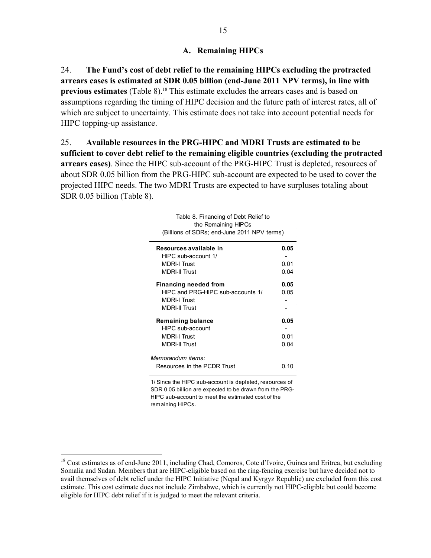### **A. Remaining HIPCs**

24. **The Fund's cost of debt relief to the remaining HIPCs excluding the protracted arrears cases is estimated at SDR 0.05 billion (end-June 2011 NPV terms), in line with previous estimates** (Table 8).<sup>18</sup> This estimate excludes the arrears cases and is based on assumptions regarding the timing of HIPC decision and the future path of interest rates, all of which are subject to uncertainty. This estimate does not take into account potential needs for HIPC topping-up assistance.

25. **Available resources in the PRG-HIPC and MDRI Trusts are estimated to be sufficient to cover debt relief to the remaining eligible countries (excluding the protracted arrears cases)**. Since the HIPC sub-account of the PRG-HIPC Trust is depleted, resources of about SDR 0.05 billion from the PRG-HIPC sub-account are expected to be used to cover the projected HIPC needs. The two MDRI Trusts are expected to have surpluses totaling about SDR 0.05 billion (Table 8).

| Table 8. Financing of Debt Relief to<br>the Remaining HIPCs<br>(Billions of SDRs; end-June 2011 NPV terms) |      |
|------------------------------------------------------------------------------------------------------------|------|
| Resources available in                                                                                     | 0.05 |
| HIPC sub-account 1/                                                                                        |      |
| <b>MDRI-I Trust</b>                                                                                        | 0.01 |
| <b>MDRI-II Trust</b>                                                                                       | 0.04 |
| <b>Financing needed from</b>                                                                               | 0.05 |
| HIPC and PRG-HIPC sub-accounts 1/                                                                          | 0.05 |
| <b>MDRI-I Trust</b>                                                                                        |      |
| <b>MDRI-II Trust</b>                                                                                       |      |
| <b>Remaining balance</b>                                                                                   | 0.05 |
| HIPC sub-account                                                                                           |      |
| <b>MDRI-I Trust</b>                                                                                        | 0.01 |
| <b>MDRI-II Trust</b>                                                                                       | 0.04 |
| Memorandum items:                                                                                          |      |
| Resources in the PCDR Trust                                                                                | ი 10 |

1/ Since the HIPC sub-account is depleted, resources of SDR 0.05 billion are expected to be drawn from the PRG-HIPC sub-account to meet the estimated cost of the remaining HIPCs.

<sup>&</sup>lt;sup>18</sup> Cost estimates as of end-June 2011, including Chad, Comoros, Cote d'Ivoire, Guinea and Eritrea, but excluding Somalia and Sudan. Members that are HIPC-eligible based on the ring-fencing exercise but have decided not to avail themselves of debt relief under the HIPC Initiative (Nepal and Kyrgyz Republic) are excluded from this cost estimate. This cost estimate does not include Zimbabwe, which is currently not HIPC-eligible but could become eligible for HIPC debt relief if it is judged to meet the relevant criteria.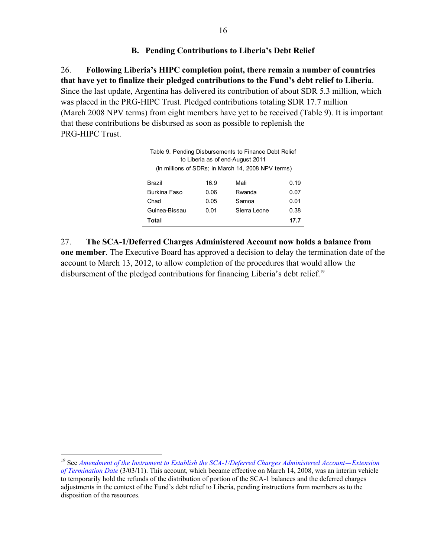### **B. Pending Contributions to Liberia's Debt Relief**

26. **Following Liberia's HIPC completion point, there remain a number of countries that have yet to finalize their pledged contributions to the Fund's debt relief to Liberia**. Since the last update, Argentina has delivered its contribution of about SDR 5.3 million, which was placed in the PRG-HIPC Trust. Pledged contributions totaling SDR 17.7 million (March 2008 NPV terms) from eight members have yet to be received (Table 9). It is important that these contributions be disbursed as soon as possible to replenish the PRG-HIPC Trust.

| Table 9. Pending Disbursements to Finance Debt Relief<br>to Liberia as of end-August 2011<br>(In millions of SDRs; in March 14, 2008 NPV terms) |      |              |      |  |  |  |
|-------------------------------------------------------------------------------------------------------------------------------------------------|------|--------------|------|--|--|--|
| Brazil                                                                                                                                          | 16.9 | Mali         | 0.19 |  |  |  |
| Burkina Faso                                                                                                                                    | 0.06 | Rwanda       | 0.07 |  |  |  |
| Chad                                                                                                                                            | 0.05 | Samoa        | 0.01 |  |  |  |
| Guinea-Bissau                                                                                                                                   | 0.01 | Sierra Leone | 0.38 |  |  |  |
| 17.7<br>Total                                                                                                                                   |      |              |      |  |  |  |

27. **The SCA-1/Deferred Charges Administered Account now holds a balance from one member**. The Executive Board has approved a decision to delay the termination date of the account to March 13, 2012, to allow completion of the procedures that would allow the disbursement of the pledged contributions for financing Liberia's debt relief.<sup>19</sup>

 19 See *Amendment of the Instrument to Establish the SCA-1/Deferred Charges Administered Account-Extension of Termination Date* (3/03/11). This account, which became effective on March 14, 2008, was an interim vehicle to temporarily hold the refunds of the distribution of portion of the SCA-1 balances and the deferred charges adjustments in the context of the Fund's debt relief to Liberia, pending instructions from members as to the disposition of the resources.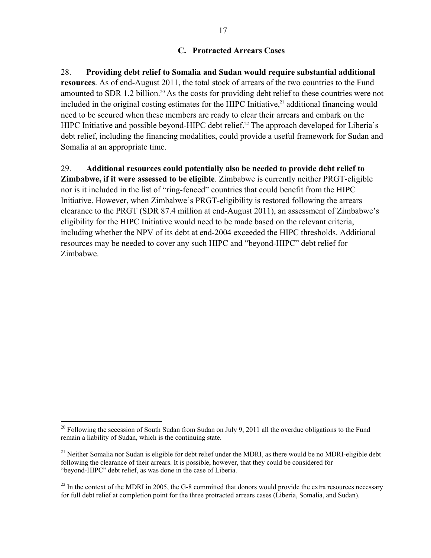### **C. Protracted Arrears Cases**

28. **Providing debt relief to Somalia and Sudan would require substantial additional resources**. As of end-August 2011, the total stock of arrears of the two countries to the Fund amounted to SDR 1.2 billion.<sup>20</sup> As the costs for providing debt relief to these countries were not included in the original costing estimates for the HIPC Initiative, $21$  additional financing would need to be secured when these members are ready to clear their arrears and embark on the HIPC Initiative and possible beyond-HIPC debt relief.<sup>22</sup> The approach developed for Liberia's debt relief, including the financing modalities, could provide a useful framework for Sudan and Somalia at an appropriate time.

29. **Additional resources could potentially also be needed to provide debt relief to Zimbabwe, if it were assessed to be eligible**. Zimbabwe is currently neither PRGT-eligible nor is it included in the list of "ring-fenced" countries that could benefit from the HIPC Initiative. However, when Zimbabwe's PRGT-eligibility is restored following the arrears clearance to the PRGT (SDR 87.4 million at end-August 2011), an assessment of Zimbabwe's eligibility for the HIPC Initiative would need to be made based on the relevant criteria, including whether the NPV of its debt at end-2004 exceeded the HIPC thresholds. Additional resources may be needed to cover any such HIPC and "beyond-HIPC" debt relief for Zimbabwe.

 $20$  Following the secession of South Sudan from Sudan on July 9, 2011 all the overdue obligations to the Fund remain a liability of Sudan, which is the continuing state.

<sup>&</sup>lt;sup>21</sup> Neither Somalia nor Sudan is eligible for debt relief under the MDRI, as there would be no MDRI-eligible debt following the clearance of their arrears. It is possible, however, that they could be considered for "beyond-HIPC" debt relief, as was done in the case of Liberia.

 $^{22}$  In the context of the MDRI in 2005, the G-8 committed that donors would provide the extra resources necessary for full debt relief at completion point for the three protracted arrears cases (Liberia, Somalia, and Sudan).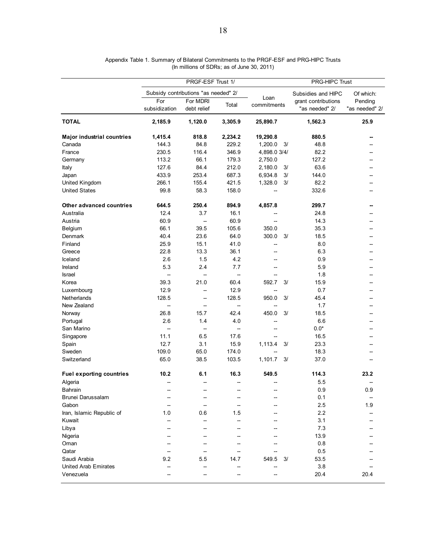|                                   | PRGF-ESF Trust 1/                    |                          |                          | PRG-HIPC Trust           |                                       |                           |  |
|-----------------------------------|--------------------------------------|--------------------------|--------------------------|--------------------------|---------------------------------------|---------------------------|--|
|                                   | Subsidy contributions "as needed" 2/ |                          |                          |                          | Subsidies and HIPC                    | Of which:                 |  |
|                                   | For<br>subsidization                 | For MDRI<br>debt relief  | Total                    | Loan<br>commitments      | grant contributions<br>"as needed" 2/ | Pending<br>"as needed" 2/ |  |
| <b>TOTAL</b>                      | 2,185.9                              | 1,120.0                  | 3,305.9                  | 25,890.7                 | 1,562.3                               | 25.9                      |  |
| <b>Major industrial countries</b> | 1,415.4                              | 818.8                    | 2,234.2                  | 19,290.8                 | 880.5                                 |                           |  |
| Canada                            | 144.3                                | 84.8                     | 229.2                    | 1,200.0<br>3/            | 48.8                                  |                           |  |
| France                            | 230.5                                | 116.4                    | 346.9                    | 4,898.0 3/4/             | 82.2                                  |                           |  |
| Germany                           | 113.2                                | 66.1                     | 179.3                    | 2,750.0                  | 127.2                                 |                           |  |
| Italy                             | 127.6                                | 84.4                     | 212.0                    | 2,180.0<br>3/            | 63.6                                  |                           |  |
| Japan                             | 433.9                                | 253.4                    | 687.3                    | 6,934.8<br>3/            | 144.0                                 | --                        |  |
| United Kingdom                    | 266.1                                | 155.4                    | 421.5                    | 1,328.0<br>3/            | 82.2                                  |                           |  |
| <b>United States</b>              | 99.8                                 | 58.3                     | 158.0                    |                          | 332.6                                 |                           |  |
| Other advanced countries          | 644.5                                | 250.4                    | 894.9                    | 4,857.8                  | 299.7                                 | --                        |  |
| Australia                         | 12.4                                 | 3.7                      | 16.1                     | --                       | 24.8                                  | $-$                       |  |
| Austria                           | 60.9                                 | --                       | 60.9                     |                          | 14.3                                  |                           |  |
| Belgium                           | 66.1                                 | 39.5                     | 105.6                    | 350.0                    | 35.3                                  |                           |  |
| Denmark                           | 40.4                                 | 23.6                     | 64.0                     | 300.0<br>3/              | 18.5                                  | --                        |  |
| Finland                           | 25.9                                 | 15.1                     | 41.0                     | --                       | 8.0                                   | $-$                       |  |
| Greece                            | 22.8                                 | 13.3                     | 36.1                     | $\overline{\phantom{a}}$ | 6.3                                   | --                        |  |
| Iceland                           | 2.6                                  | 1.5                      | 4.2                      | $\overline{\phantom{a}}$ | 0.9                                   | --                        |  |
| Ireland                           | 5.3                                  | 2.4                      | 7.7                      | $\overline{\phantom{a}}$ | 5.9                                   | $-$                       |  |
| Israel                            | --                                   | --                       | --                       | --                       | 1.8                                   | --                        |  |
| Korea                             | 39.3                                 | 21.0                     | 60.4                     | 592.7<br>3/              | 15.9                                  |                           |  |
| Luxembourg                        | 12.9                                 | --                       | 12.9                     | --                       | 0.7                                   | --                        |  |
| Netherlands                       | 128.5                                | --                       | 128.5                    | 950.0<br>3/              | 45.4                                  | --                        |  |
| New Zealand                       | --                                   | --                       | $\overline{\phantom{a}}$ |                          | 1.7                                   |                           |  |
| Norway                            | 26.8                                 | 15.7                     | 42.4                     | 450.0<br>3/              | 18.5                                  |                           |  |
| Portugal                          | 2.6                                  | 1.4                      | 4.0                      | --                       | 6.6                                   | --                        |  |
| San Marino                        | --                                   | $\overline{\phantom{a}}$ | $\overline{\phantom{a}}$ | --                       | $0.0*$                                |                           |  |
| Singapore                         | 11.1                                 | 6.5                      | 17.6                     |                          | 16.5                                  | --                        |  |
| Spain                             | 12.7                                 | 3.1                      | 15.9                     | 1,113.4<br>3/            | 23.3                                  | --                        |  |
| Sweden                            | 109.0                                | 65.0                     | 174.0                    |                          | 18.3                                  |                           |  |
| Switzerland                       | 65.0                                 | 38.5                     | 103.5                    | 1,101.7<br>3/            | 37.0                                  |                           |  |
| <b>Fuel exporting countries</b>   | 10.2                                 | 6.1                      | 16.3                     | 549.5                    | 114.3                                 | 23.2                      |  |
| Algeria                           |                                      |                          |                          |                          | 5.5                                   |                           |  |
| Bahrain                           |                                      | $\overline{\phantom{0}}$ |                          |                          | 0.9                                   | 0.9                       |  |
| Brunei Darussalam                 |                                      |                          |                          |                          | 0.1                                   | $\overline{\phantom{a}}$  |  |
| Gabon                             |                                      |                          |                          |                          | 2.5                                   | 1.9                       |  |
| Iran, Islamic Republic of         | 1.0                                  | 0.6                      | 1.5                      |                          | 2.2                                   |                           |  |
| Kuwait                            |                                      |                          |                          |                          | 3.1                                   |                           |  |
| Libya                             |                                      |                          |                          |                          | 7.3                                   |                           |  |
| Nigeria                           |                                      |                          |                          |                          | 13.9                                  |                           |  |
| Oman                              |                                      |                          |                          |                          | 0.8                                   |                           |  |
| Qatar                             |                                      |                          |                          |                          | 0.5                                   |                           |  |
| Saudi Arabia                      | 9.2                                  | 5.5                      | 14.7                     | 549.5<br>3/              | 53.5                                  |                           |  |
| <b>United Arab Emirates</b>       |                                      |                          |                          |                          | 3.8                                   |                           |  |
| Venezuela                         |                                      |                          |                          |                          | 20.4                                  | 20.4                      |  |

| Appendix Table 1. Summary of Bilateral Commitments to the PRGF-ESF and PRG-HIPC Trusts |  |
|----------------------------------------------------------------------------------------|--|
| (In millions of SDRs; as of June 30, 2011)                                             |  |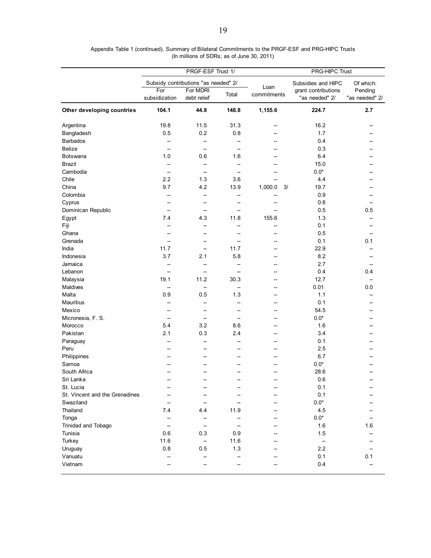|                                | PRGF-ESF Trust 1/    |                                      |                          | <b>PRG-HIPC Trust</b> |                                       |                           |  |
|--------------------------------|----------------------|--------------------------------------|--------------------------|-----------------------|---------------------------------------|---------------------------|--|
|                                |                      | Subsidy contributions "as needed" 2/ |                          |                       | Subsidies and HIPC                    | Of which:                 |  |
|                                | For<br>subsidization | For MDRI<br>debt relief              | Total                    | Loan<br>commitments   | grant contributions<br>"as needed" 2/ | Pending<br>"as needed" 2/ |  |
| Other developing countries     | 104.1                | 44.8                                 | 148.8                    | 1,155.6               | 224.7                                 | 2.7                       |  |
| Argentina                      | 19.8                 | 11.5                                 | 31.3                     | --                    | 16.2                                  |                           |  |
| Bangladesh                     | 0.5                  | 0.2                                  | 0.8                      | --                    | 1.7                                   |                           |  |
| <b>Barbados</b>                | $\overline{a}$       | $\overline{\phantom{0}}$             |                          | $-$                   | 0.4                                   |                           |  |
| <b>Belize</b>                  | $\overline{a}$       | --                                   |                          | --                    | 0.3                                   |                           |  |
| Botswana                       | 1.0                  | 0.6                                  | 1.6                      |                       | 6.4                                   |                           |  |
| <b>Brazil</b>                  | $\overline{a}$       | --                                   |                          |                       | 15.0                                  |                           |  |
| Cambodia                       |                      | --                                   |                          |                       | $0.0*$                                |                           |  |
| Chile                          | 2.2                  | 1.3                                  | 3.6                      |                       | 4.4                                   |                           |  |
| China                          | 9.7                  | 4.2                                  | 13.9                     | 1,000.0<br>3/         | 19.7                                  |                           |  |
| Colombia                       |                      | --                                   | Ξ.                       | Ξ.                    | 0.9                                   |                           |  |
| Cyprus                         |                      | $\overline{a}$                       | $\overline{\phantom{a}}$ | --                    | 0.8                                   | --                        |  |
| Dominican Republic             |                      | --                                   |                          |                       | 0.5                                   | 0.5                       |  |
| Egypt                          | 7.4                  | 4.3                                  | 11.8                     | 155.6                 | 1.3                                   |                           |  |
| Fiji                           |                      | $\overline{\phantom{a}}$             |                          | --                    | 0.1                                   | --                        |  |
| Ghana                          |                      | --                                   |                          | --                    | 0.5                                   | --                        |  |
| Grenada                        | --                   | --                                   | --                       | --                    | 0.1                                   | 0.1                       |  |
| India                          | 11.7                 | $\overline{\phantom{a}}$             | 11.7                     | --                    | 22.9                                  | --                        |  |
| Indonesia                      | 3.7                  | 2.1                                  | 5.8                      |                       | 8.2                                   |                           |  |
|                                |                      |                                      |                          | --                    | 2.7                                   | --                        |  |
| Jamaica                        |                      | --                                   |                          | --                    |                                       | --                        |  |
| Lebanon                        |                      | --                                   |                          |                       | 0.4                                   | 0.4                       |  |
| Malaysia                       | 19.1                 | 11.2                                 | 30.3                     | --                    | 12.7                                  | --                        |  |
| Maldives                       | --                   | --                                   | $\overline{\phantom{a}}$ | --                    | 0.01                                  | 0.0                       |  |
| Malta                          | 0.9                  | 0.5                                  | 1.3                      | --                    | 1.1                                   | --                        |  |
| Mauritius                      | $\overline{a}$       | $\overline{\phantom{a}}$             | --                       | $\overline{a}$        | 0.1                                   |                           |  |
| Mexico                         | --                   | $\overline{\phantom{a}}$             |                          | $\overline{a}$        | 54.5                                  | --                        |  |
| Micronesia, F. S.              | --                   | --                                   | --                       | --                    | $0.0^\star$                           |                           |  |
| Morocco                        | 5.4                  | 3.2                                  | 8.6                      | --                    | 1.6                                   |                           |  |
| Pakistan                       | 2.1                  | 0.3                                  | 2.4                      | --                    | 3.4                                   |                           |  |
| Paraguay                       |                      | $\overline{\phantom{a}}$             |                          | $\overline{a}$        | 0.1                                   |                           |  |
| Peru                           |                      | --                                   |                          | --                    | 2.5                                   |                           |  |
| Philippines                    |                      |                                      |                          |                       | 6.7                                   |                           |  |
| Samoa                          |                      |                                      |                          |                       | $0.0^\star$                           |                           |  |
| South Africa                   |                      |                                      |                          |                       | 28.6                                  |                           |  |
| Sri Lanka                      |                      |                                      |                          |                       | 0.6                                   |                           |  |
| St. Lucia                      |                      |                                      |                          |                       | 0.1                                   |                           |  |
| St. Vincent and the Grenadines |                      |                                      |                          |                       | 0.1                                   |                           |  |
| Swaziland                      |                      | --                                   |                          |                       | $0.0*$                                |                           |  |
| Thailand                       | 7.4                  | 4.4                                  | 11.9                     | --                    | 4.5                                   |                           |  |
| Tonga                          |                      | $\overline{\phantom{a}}$             |                          |                       | $0.0^\star$                           |                           |  |
| Trinidad and Tobago            |                      | --                                   |                          |                       | 1.6                                   | 1.6                       |  |
| Tunisia                        | 0.6                  | 0.3                                  | 0.9                      |                       | 1.5                                   |                           |  |
| Turkey                         | 11.6                 | $\overline{\phantom{a}}$             | 11.6                     |                       | $\overline{\phantom{a}}$              |                           |  |
| Uruguay                        | 0.8                  | 0.5                                  | 1.3                      |                       | 2.2                                   |                           |  |
| Vanuatu                        |                      | --                                   |                          |                       | 0.1                                   | 0.1                       |  |
| Vietnam                        |                      | --                                   |                          |                       | 0.4                                   |                           |  |
|                                |                      |                                      |                          |                       |                                       |                           |  |

Appendix Table 1 (continued). Summary of Bilateral Commitments to the PRGF-ESF and PRG-HIPC Trusts (In millions of SDRs; as of June 30, 2011)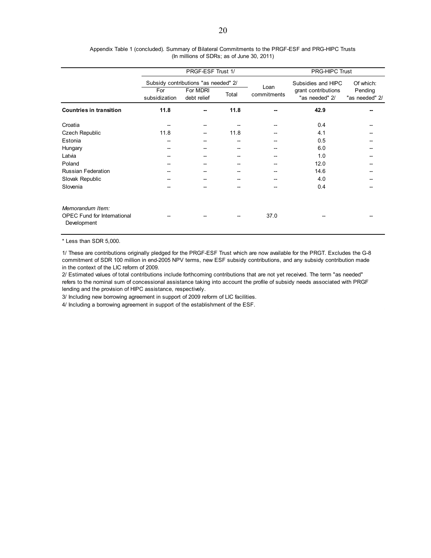|                                                                       | PRGF-ESF Trust 1/                                        |                                      |                     |                                       | <b>PRG-HIPC Trust</b>     |           |  |  |
|-----------------------------------------------------------------------|----------------------------------------------------------|--------------------------------------|---------------------|---------------------------------------|---------------------------|-----------|--|--|
|                                                                       |                                                          | Subsidy contributions "as needed" 2/ |                     |                                       | Subsidies and HIPC        | Of which: |  |  |
|                                                                       | For MDRI<br>For<br>Total<br>subsidization<br>debt relief |                                      | Loan<br>commitments | grant contributions<br>"as needed" 2/ | Pending<br>"as needed" 2/ |           |  |  |
| <b>Countries in transition</b>                                        | 11.8                                                     |                                      | 11.8                |                                       | 42.9                      |           |  |  |
| Croatia                                                               |                                                          |                                      |                     | --                                    | 0.4                       |           |  |  |
| Czech Republic                                                        | 11.8                                                     |                                      | 11.8                |                                       | 4.1                       |           |  |  |
| Estonia                                                               | --                                                       |                                      |                     |                                       | 0.5                       |           |  |  |
| Hungary                                                               | --                                                       |                                      |                     | --                                    | 6.0                       |           |  |  |
| Latvia                                                                | --                                                       |                                      |                     |                                       | 1.0                       |           |  |  |
| Poland                                                                |                                                          |                                      |                     | --                                    | 12.0                      | --        |  |  |
| Russian Federation                                                    |                                                          |                                      |                     |                                       | 14.6                      |           |  |  |
| Slovak Republic                                                       |                                                          |                                      |                     |                                       | 4.0                       |           |  |  |
| Slovenia                                                              |                                                          |                                      |                     |                                       | 0.4                       |           |  |  |
| Memorandum Item:<br><b>OPEC Fund for International</b><br>Development |                                                          |                                      |                     | 37.0                                  |                           |           |  |  |

(In millions of SDRs; as of June 30, 2011) Appendix Table 1 (concluded). Summary of Bilateral Commitments to the PRGF-ESF and PRG-HIPC Trusts

\* Less than SDR 5,000.

1/ These are contributions originally pledged for the PRGF-ESF Trust which are now available for the PRGT. Excludes the G-8 commitment of SDR 100 million in end-2005 NPV terms, new ESF subsidy contributions, and any subsidy contribution made in the context of the LIC reform of 2009.

2/ Estimated values of total contributions include forthcoming contributions that are not yet received. The term "as needed" refers to the nominal sum of concessional assistance taking into account the profile of subsidy needs associated with PRGF lending and the provision of HIPC assistance, respectively.

3/ Including new borrowing agreement in support of 2009 reform of LIC facilities.

4/ Including a borrowing agreement in support of the establishment of the ESF.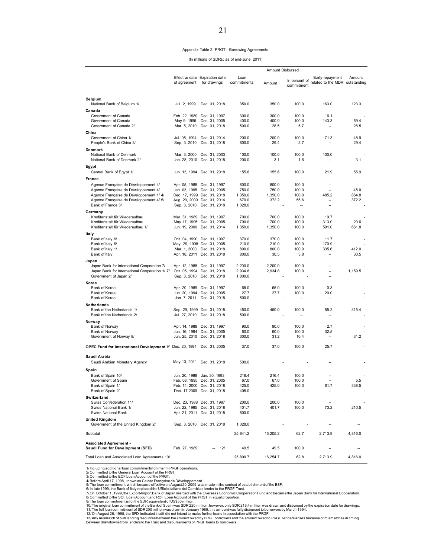#### Appendix Table 2. PRGT—Borrowing Agreements

(In millions of SDRs; as of end-June, 2011)

|                                                              |                                |                                                           |                     | Amount Disbursed   |                                  |                                                    |         |  |
|--------------------------------------------------------------|--------------------------------|-----------------------------------------------------------|---------------------|--------------------|----------------------------------|----------------------------------------------------|---------|--|
|                                                              | of agreement                   | Effective date Expiration date<br>for drawings            | Loan<br>commitments | Amount             | In percent of<br>commitment      | Early repayment<br>related to the MDRI outstanding | Amount  |  |
| Belgium                                                      |                                |                                                           |                     |                    |                                  |                                                    |         |  |
| National Bank of Belgium 1/                                  | Jul. 2, 1999                   | Dec. 31, 2018                                             | 350.0               | 350.0              | 100.0                            | 163.0                                              | 123.3   |  |
| Canada                                                       |                                |                                                           |                     |                    |                                  |                                                    |         |  |
| Government of Canada<br>Government of Canada                 | Feb. 22, 1989<br>May 9, 1995   | Dec. 31, 1997<br>Dec. 31, 2005                            | 300.0<br>400.0      | 300.0<br>400.0     | 100.0<br>100.0                   | 16.1<br>143.3                                      | 59.4    |  |
| Government of Canada 2/                                      | Mar. 5, 2010                   | Dec. 31, 2018                                             | 500.0               | 28.5               | 5.7                              |                                                    | 28.5    |  |
| China                                                        |                                |                                                           |                     |                    |                                  |                                                    |         |  |
| Government of China 1/                                       | Jul. 05, 1994                  | Dec. 31, 2014                                             | 200.0               | 200.0              | 100.0                            | 71.3                                               | 48.9    |  |
| People's Bank of China 3/                                    | Sep. 3, 2010                   | Dec. 31, 2018                                             | 800.0               | 29.4               | 3.7                              |                                                    | 29.4    |  |
| Denmark                                                      |                                |                                                           |                     |                    |                                  |                                                    |         |  |
| National Bank of Denmark                                     | Mar. 3, 2000                   | Dec. 31, 2003                                             | 100.0               | 100.0              | 100.0                            | 100.0                                              |         |  |
| National Bank of Denmark 2/                                  | Jan. 28, 2010                  | Dec. 31, 2018                                             | 200.0               | 3.1                | 1.6                              |                                                    | 3.1     |  |
| Egypt                                                        |                                |                                                           |                     |                    |                                  |                                                    |         |  |
| Central Bank of Egypt 1/                                     |                                | Jun. 13, 1994 Dec. 31, 2018                               | 155.6               | 155.6              | 100.0                            | 21.9                                               | 55.9    |  |
| France                                                       |                                |                                                           |                     |                    |                                  |                                                    |         |  |
| Agence Française de Développement 4/                         |                                | Apr. 05, 1988 Dec. 31, 1997                               | 800.0               | 800.0              | 100.0                            |                                                    |         |  |
| Agence Française de Développement 4/                         | Jan. 03, 1995                  | Dec. 31, 2005                                             | 750.0               | 750.0              | 100.0                            | ۰.                                                 | 45.0    |  |
| Agence Française de Développement 1/4/                       |                                | Dec. 17, 1999 Dec. 31, 2018                               | 1,350.0             | 1,350.0            | 100.0                            | 485.2<br>--                                        | 864.8   |  |
| Agence Française de Développement 4/ 5/<br>Bank of France 3/ |                                | Aug. 20, 2009 Dec. 31, 2014<br>Sep. 3, 2010 Dec. 31, 2018 | 670.0<br>1,328.0    | 372.2              | 55.6<br>$\overline{\phantom{a}}$ | Ξ.                                                 | 372.2   |  |
|                                                              |                                |                                                           |                     |                    |                                  |                                                    |         |  |
| Germany<br>Kreditanstalt für Wiederaufbau                    |                                | Mar. 31, 1989 Dec. 31, 1997                               | 700.0               | 700.0              | 100.0                            | 19.7                                               |         |  |
| Kreditanstalt für Wiederaufbau                               |                                | May 17, 1995 Dec. 31, 2005                                | 700.0               | 700.0              | 100.0                            | 313.0                                              | 20.6    |  |
| Kreditanstalt für Wiederaufbau 1/                            |                                | Jun. 19, 2000 Dec. 31, 2014                               | 1,350.0             | 1,350.0            | 100.0                            | 591.0                                              | 661.8   |  |
| Italy                                                        |                                |                                                           |                     |                    |                                  |                                                    |         |  |
| Bank of Italy 6/                                             |                                | Oct. 04, 1990 Dec. 31, 1997                               | 370.0               | 370.0              | 100.0                            | 11.7                                               |         |  |
| Bank of Italy 6/                                             |                                | May. 29, 1998 Dec. 31, 2005                               | 210.0               | 210.0              | 100.0                            | 170.9                                              |         |  |
| Bank of Italy 1/                                             | Mar. 1, 2000                   | Dec. 31, 2018                                             | 800.0               | 800.0              | 100.0                            | 335.6                                              | 412.0   |  |
| Bank of Italy                                                |                                | Apr. 18, 2011 Dec. 31, 2018                               | 800.0               | 30.5               | 3.8                              | --                                                 | 30.5    |  |
| Japan<br>Japan Bank for International Cooperation 7/         |                                |                                                           |                     |                    |                                  |                                                    |         |  |
| Japan Bank for International Cooperation 1/7/                | Apr. 12, 1988<br>Oct. 05, 1994 | Dec. 31, 1997<br>Dec. 31, 2018                            | 2,200.0<br>2,934.8  | 2,200.0<br>2,934.8 | 100.0<br>100.0                   | --                                                 | 1,159.5 |  |
| Government of Japan 2/                                       | Sep. 3, 2010                   | Dec. 31, 2018                                             | 1,800.0             |                    |                                  | Ξ.                                                 |         |  |
| Korea                                                        |                                |                                                           |                     |                    |                                  |                                                    |         |  |
| Bank of Korea                                                | Apr. 20 1989                   | Dec. 31, 1997                                             | 65.0                | 65.0               | 100.0                            | 0.3                                                |         |  |
| Bank of Korea                                                | Jun. 20, 1994                  | Dec. 31, 2005                                             | 27.7                | 27.7               | 100.0                            | 20.0                                               |         |  |
| Bank of Korea                                                | Jan. 7, 2011                   | Dec. 31, 2018                                             | 500.0               |                    |                                  | --                                                 |         |  |
| Netherlands                                                  |                                |                                                           |                     |                    |                                  |                                                    |         |  |
| Bank of the Netherlands 1/                                   |                                | Sep. 29, 1999 Dec. 31, 2018                               | 450.0               | 450.0              | 100.0                            | 55.2                                               | 315.4   |  |
| Bank of the Netherlands 2/                                   | Jul. 27, 2010                  | Dec. 31, 2018                                             | 500.0               |                    |                                  | --                                                 |         |  |
| Norway                                                       |                                |                                                           |                     |                    |                                  |                                                    |         |  |
| Bank of Norway<br>Bank of Norway                             | Jun. 16, 1994                  | Apr. 14, 1988 Dec. 31, 1997<br>Dec. 31, 2005              | 90.0<br>60.0        | 90.0<br>60.0       | 100.0<br>100.0                   | 2.7<br>32.5                                        |         |  |
| Government of Norway 8/                                      |                                | Jun. 25, 2010 Dec. 31, 2018                               | 300.0               | 31.2               | 10.4                             | --                                                 | 31.2    |  |
|                                                              |                                |                                                           |                     |                    |                                  |                                                    |         |  |
| OPEC Fund for International Development 9/ Dec. 20, 1994     |                                | Dec. 31, 2005                                             | 37.0                | 37.0               | 100.0                            | 25.7                                               |         |  |
| Saudi Arabia                                                 |                                |                                                           |                     |                    |                                  |                                                    |         |  |
| Saudi Arabian Monetary Agency                                |                                | May 13, 2011 Dec. 31, 2018                                | 500.0               |                    |                                  |                                                    |         |  |
|                                                              |                                |                                                           |                     |                    |                                  |                                                    |         |  |
| Spain                                                        |                                |                                                           |                     |                    |                                  |                                                    |         |  |
| Bank of Spain 10/<br>Government of Spain                     | Jun. 20, 1988                  | Jun. 30, 1993<br>Feb. 08, 1995 Dec. 31, 2005              | 216.4<br>67.0       | 216.4<br>67.0      | 100.0<br>100.0                   |                                                    | 5.5     |  |
| Bank of Spain 1/                                             |                                | Feb. 14, 2000 Dec. 31, 2018                               | 425.0               | 425.0              | 100.0                            | 61.7                                               | 338.5   |  |
| Bank of Spain 2/                                             |                                | Dec. 17,2009 Dec. 31, 2018                                | 405.0               |                    |                                  |                                                    |         |  |
| Switzerland                                                  |                                |                                                           |                     |                    |                                  |                                                    |         |  |
| Swiss Confederation 11/                                      |                                | Dec. 23, 1988 Dec. 31, 1997                               | 200.0               | 200.0              | 100.0                            |                                                    |         |  |
| Swiss National Bank 1/                                       |                                | Jun. 22, 1995 Dec. 31, 2018                               | 401.7               | 401.7              | 100.0                            | 73.2                                               | 210.5   |  |
| Swiss National Bank                                          |                                | Apr. 21, 2011 Dec. 31, 2018                               | 500.0               |                    |                                  |                                                    |         |  |
| <b>United Kingdom</b>                                        |                                |                                                           |                     |                    |                                  |                                                    |         |  |
| Government of the United Kingdom 2/                          |                                | Sep. 3, 2010 Dec. 31, 2018                                | 1,328.0             |                    |                                  |                                                    |         |  |
| Subtotal                                                     |                                |                                                           | 25,841.2            | 16,205.2           | 62.7                             | 2,713.9                                            | 4,816.0 |  |
|                                                              |                                |                                                           |                     |                    |                                  |                                                    |         |  |
| <b>Associated Agreement -</b>                                | Feb. 27, 1989                  | 12/                                                       | 49.5                | 49.5               | 100.0                            |                                                    |         |  |
| Saudi Fund for Development (SFD)                             |                                |                                                           |                     |                    |                                  |                                                    |         |  |
| Total Loan and Associated Loan Agreements 13/                |                                |                                                           | 25,890.7            | 16,254.7           | 62.8                             | 2,713.9                                            | 4,816.0 |  |

1/Including additional loan commitments for the PRGT.<br>2/ Committed to the General Loan Account of the PRGT.<br>3/ Committed to the ECF Loan Account of the PRGT.<br>4/Before April 17, 1998, known as Caise Française de Développeme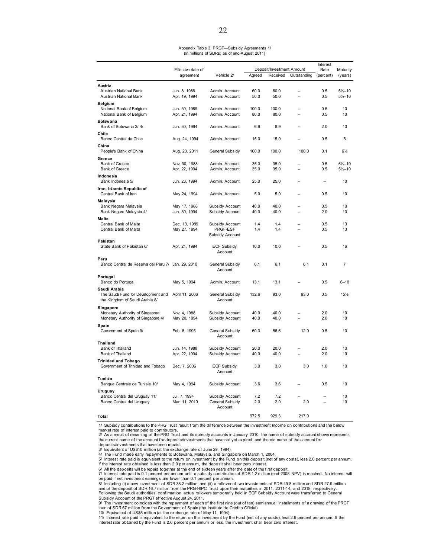#### Appendix Table 3. PRGT—Subsidy Agreements 1/ (In millions of SDRs; as of end-August 2011)

|                                                      |                                |                             |            |                           |                | Interest   |                     |
|------------------------------------------------------|--------------------------------|-----------------------------|------------|---------------------------|----------------|------------|---------------------|
|                                                      | Effective date of              |                             |            | Deposit/Investment Amount |                | Rate       | Maturity            |
|                                                      | agreement                      | Vehicle 2/                  | Agreed     | Received                  | Outstanding    | (percent)  | (years)             |
|                                                      |                                |                             |            |                           |                |            |                     |
| Austria<br>Austrian National Bank                    | Jun. 8, 1988                   | Admin. Account              | 60.0       | 60.0                      |                | 0.5        | $5\frac{1}{2} - 10$ |
| Austrian National Bank                               | Apr. 19, 1994                  | Admin. Account              | 50.0       | 50.0                      | L.             | 0.5        | $5\frac{1}{2} - 10$ |
|                                                      |                                |                             |            |                           |                |            |                     |
| Belgium                                              |                                | Admin. Account              | 100.0      | 100.0                     |                | 0.5        | 10                  |
| National Bank of Belgium<br>National Bank of Belgium | Jun. 30, 1989<br>Apr. 21, 1994 | Admin. Account              | 80.0       | 80.0                      |                | 0.5        | 10                  |
|                                                      |                                |                             |            |                           |                |            |                     |
| <b>Botswana</b>                                      |                                |                             |            |                           |                |            |                     |
| Bank of Botswana 3/4/                                | Jun. 30, 1994                  | Admin. Account              | 6.9        | 6.9                       |                | 2.0        | 10                  |
| Chile                                                |                                |                             |            |                           |                |            |                     |
| Banco Central de Chile                               | Aug. 24, 1994                  | Admin. Account              | 15.0       | 15.0                      |                | 0.5        | 5                   |
| China                                                |                                |                             |            |                           |                |            |                     |
| People's Bank of China                               | Aug. 23, 2011                  | General Subsidy             | 100.0      | 100.0                     | 100.0          | 0.1        | $6\frac{1}{4}$      |
| Greece                                               |                                |                             |            |                           |                |            |                     |
| <b>Bank of Greece</b>                                | Nov. 30, 1988                  | Admin. Account              | 35.0       | 35.0                      |                | 0.5        | $5\frac{1}{2} - 10$ |
| <b>Bank of Greece</b>                                | Apr. 22, 1994                  | Admin. Account              | 35.0       | 35.0                      |                | 0.5        | $5\frac{1}{2} - 10$ |
| Indonesia                                            |                                |                             |            |                           |                |            |                     |
| Bank Indonesia 5/                                    | Jun. 23, 1994                  | Admin. Account              | 25.0       | 25.0                      |                | ÷.         | 10                  |
| Iran, Islamic Republic of                            |                                |                             |            |                           |                |            |                     |
| Central Bank of Iran                                 | May 24, 1994                   | Admin. Account              | 5.0        | 5.0                       |                | 0.5        | 10                  |
|                                                      |                                |                             |            |                           |                |            |                     |
| Malaysia                                             | May 17, 1988                   | Subsidy Account             | 40.0       | 40.0                      |                | 0.5        | 10                  |
| Bank Negara Malaysia<br>Bank Negara Malaysia 4/      | Jun. 30, 1994                  | Subsidy Account             | 40.0       | 40.0                      |                | 2.0        | 10                  |
|                                                      |                                |                             |            |                           |                |            |                     |
| Malta                                                |                                |                             |            |                           |                |            |                     |
| Central Bank of Malta                                | Dec. 13, 1989                  | Subsidy Account             | 1.4<br>1.4 | 1.4<br>1.4                | $\overline{a}$ | 0.5<br>0.5 | 13<br>13            |
| Central Bank of Malta                                | May 27, 1994                   | PRGF-ESF<br>Subsidy Account |            |                           |                |            |                     |
|                                                      |                                |                             |            |                           |                |            |                     |
| Pakistan<br>State Bank of Pakistan 6/                | Apr. 21, 1994                  | <b>ECF Subsidy</b>          | 10.0       | 10.0                      |                | 0.5        | 16                  |
|                                                      |                                | Account                     |            |                           |                |            |                     |
|                                                      |                                |                             |            |                           |                |            |                     |
| Peru                                                 |                                |                             |            |                           |                |            | 7                   |
| Banco Central de Reserva del Peru 7/ Jan. 29, 2010   |                                | General Subsidy<br>Account  | 6.1        | 6.1                       | 6.1            | 0.1        |                     |
|                                                      |                                |                             |            |                           |                |            |                     |
| Portugal                                             |                                |                             |            |                           |                |            |                     |
| Banco do Portugal                                    | May 5, 1994                    | Admin. Account              | 13.1       | 13.1                      |                | 0.5        | $6 - 10$            |
| Saudi Arabia                                         |                                |                             |            |                           |                |            |                     |
| The Saudi Fund for Development and                   | April 11, 2006                 | General Subsidy             | 132.6      | 93.0                      | 93.0           | 0.5        | 15%                 |
| the Kingdom of Saudi Arabia 8/                       |                                | Account                     |            |                           |                |            |                     |
| Singapore                                            |                                |                             |            |                           |                |            |                     |
| Monetary Authority of Singapore                      | Nov. 4, 1988                   | Subsidy Account             | 40.0       | 40.0                      |                | 2.0        | 10                  |
| Monetary Authority of Singapore 4/                   | May 20, 1994                   | Subsidy Account             | 40.0       | 40.0                      |                | 2.0        | 10                  |
| Spain                                                |                                |                             |            |                           |                |            |                     |
| Government of Spain 9/                               | Feb. 8, 1995                   | General Subsidy             | 60.3       | 56.6                      | 12.9           | 0.5        | 10                  |
|                                                      |                                | Account                     |            |                           |                |            |                     |
| Thailand                                             |                                |                             |            |                           |                |            |                     |
| Bank of Thailand                                     | Jun. 14, 1988                  | Subsidy Account             | 20.0       | 20.0                      |                | 2.0        | 10                  |
| Bank of Thailand                                     | Apr. 22, 1994                  | Subsidy Account             | 40.0       | 40.0                      | ÷.             | 2.0        | 10                  |
| <b>Trinidad and Tobago</b>                           |                                |                             |            |                           |                |            |                     |
| Government of Trinidad and Tobago                    | Dec. 7, 2006                   | <b>ECF Subsidy</b>          | 3.0        | 3.0                       | 3.0            | 1.0        | 10                  |
|                                                      |                                | Account                     |            |                           |                |            |                     |
| <b>Tunisia</b>                                       |                                |                             |            |                           |                |            |                     |
| Banque Centrale de Tunisie 10/                       | May 4, 1994                    | Subsidy Account             | 3.6        | 3.6                       |                | 0.5        | 10                  |
|                                                      |                                |                             |            |                           |                |            |                     |
| Uruguay<br>Banco Central del Uruguay 11/             | Jul. 7, 1994                   | Subsidy Account             | 7.2        | 7.2                       |                |            | 10                  |
| Banco Central del Uruguay                            | Mar. 11, 2010                  | General Subsidy             | 2.0        | 2.0                       | 2.0            |            | 10                  |
|                                                      |                                | Account                     |            |                           |                |            |                     |
|                                                      |                                |                             |            |                           |                |            |                     |
| Total                                                |                                |                             | 972.5      | 929.3                     | 217.0          |            |                     |

1/ Subsidy contributions to the PRG Trust result from the difference between the investment income on contributions and the below market rate of interest paid to contributors.

2/ As a result of renaming of the PRG Trust and its subsidy accounts in January 2010, the name of subsidy account shown represents the current name of the account for deposits/investments that have not yet expired, and the old name of the account for deposits/investments that have been repaid.

3/ Equivalent of US\$10 million (at the exchange rate of June 29, 1994).

4/ The Fund made early repayments to Botswana, Malaysia, and Singapore on March 1, 2004.

5/ Interest rate paid is equivalent to the return on investment by the Fund on this deposit (net of any costs), less 2.0 percent per annum. If the interest rate obtained is less than 2.0 per annum, the deposit shall bear zero interest.

6/ All the deposits will be repaid together at the end of sixteen years after the date of the first deposit.

7/ Interest rate paid is 0.1 percent per annum until a subsidy contribution of SDR 1.2 million (end-2008 NPV) is reached. No interest will

be paid if net investment eamings are lower than 0.1 percent per annum.<br>8/ Including (i) a new investment of SDR 38.2 million; and (ii) a rollover of two investments of SDR 49.8 million and SDR 27.9 million and of the deposit of SDR 16.7 million from the PRG-HIPC Trust upon their maturities in 2011, 2011-14, and 2018, respectively.<br>Following the Saudi authorities' confirmation, actual rollovers temporarily held in ECF Subsid Subsidy Account of the PRGT effective August 24, 2011.

9/ The investment coincides with the repayment of each of the first nine (out of ten) semiannual installments of a drawing of the PRGT loan of SDR 67 million from the Government of Spain (the Instituto de Crédito Oficial).

10/ Equivalent of US\$5 million (at the exchange rate of May 11, 1994).

11/ Interest rate paid is equivalent to the return on this investment by the Fund (net of any costs), less 2.6 percent per annum. If the<br>interest rate obtained by the Fund is 2.6 percent per annum or less, the investment s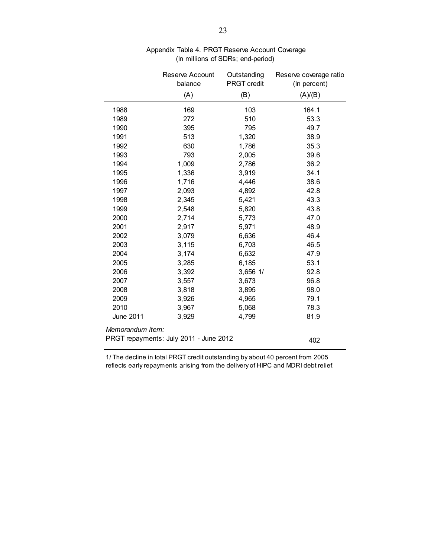|                  | Reserve Account<br>balance             | Outstanding<br><b>PRGT</b> credit | Reserve coverage ratio<br>(In percent) |
|------------------|----------------------------------------|-----------------------------------|----------------------------------------|
|                  | (A)                                    | (B)                               | (A)/(B)                                |
| 1988             | 169                                    | 103                               | 164.1                                  |
| 1989             | 272                                    | 510                               | 53.3                                   |
| 1990             | 395                                    | 795                               | 49.7                                   |
| 1991             | 513                                    | 1,320                             | 38.9                                   |
| 1992             | 630                                    | 1,786                             | 35.3                                   |
| 1993             | 793                                    | 2,005                             | 39.6                                   |
| 1994             | 1,009                                  | 2,786                             | 36.2                                   |
| 1995             | 1,336                                  | 3,919                             | 34.1                                   |
| 1996             | 1,716                                  | 4,446                             | 38.6                                   |
| 1997             | 2,093                                  | 4,892                             | 42.8                                   |
| 1998             | 2,345                                  | 5,421                             | 43.3                                   |
| 1999             | 2,548                                  | 5,820                             | 43.8                                   |
| 2000             | 2,714                                  | 5,773                             | 47.0                                   |
| 2001             | 2,917                                  | 5,971                             | 48.9                                   |
| 2002             | 3,079                                  | 6,636                             | 46.4                                   |
| 2003             | 3,115                                  | 6,703                             | 46.5                                   |
| 2004             | 3,174                                  | 6,632                             | 47.9                                   |
| 2005             | 3,285                                  | 6,185                             | 53.1                                   |
| 2006             | 3,392                                  | 3,656 1/                          | 92.8                                   |
| 2007             | 3,557                                  | 3,673                             | 96.8                                   |
| 2008             | 3,818                                  | 3,895                             | 98.0                                   |
| 2009             | 3,926                                  | 4,965                             | 79.1                                   |
| 2010             | 3,967                                  | 5,068                             | 78.3                                   |
| June 2011        | 3,929                                  | 4,799                             | 81.9                                   |
| Memorandum item: |                                        |                                   |                                        |
|                  | PRGT repayments: July 2011 - June 2012 |                                   | 402                                    |

#### Appendix Table 4. PRGT Reserve Account Coverage (In millions of SDRs; end-period)

1/ The decline in total PRGT credit outstanding by about 40 percent from 2005 reflects early repayments arising from the delivery of HIPC and MDRI debt relief.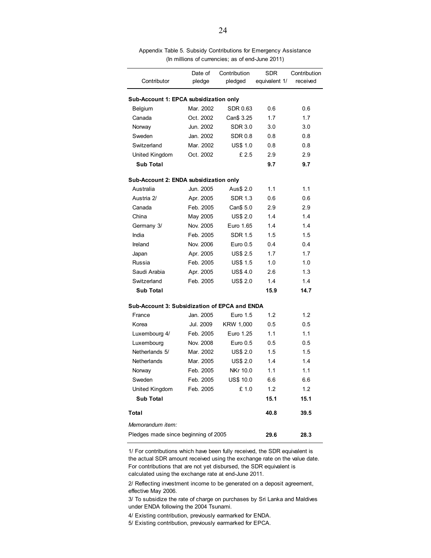| Contributor                                   | Date of<br>pledge | Contribution<br>pledged | <b>SDR</b><br>equivalent 1/ | Contribution<br>received |
|-----------------------------------------------|-------------------|-------------------------|-----------------------------|--------------------------|
|                                               |                   |                         |                             |                          |
| Sub-Account 1: EPCA subsidization only        |                   |                         |                             |                          |
| Belgium                                       | Mar. 2002         | SDR 0.63                | 0.6                         | 0.6                      |
| Canada                                        | Oct. 2002         | Can\$ 3.25              | 1.7                         | 1.7                      |
| Norway                                        | Jun. 2002         | <b>SDR 3.0</b>          | 3.0                         | 3.0                      |
| Sweden                                        | Jan. 2002         | <b>SDR 0.8</b>          | 0.8                         | 0.8                      |
| Switzerland                                   | Mar. 2002         | <b>US\$ 1.0</b>         | 0.8                         | 0.8                      |
| United Kingdom                                | Oct. 2002         | £2.5                    | 2.9                         | 2.9                      |
| <b>Sub Total</b>                              |                   |                         | 9.7                         | 9.7                      |
| Sub-Account 2: ENDA subsidization only        |                   |                         |                             |                          |
| Australia                                     | Jun. 2005         | Aus\$ 2.0               | 1.1                         | 1.1                      |
| Austria 2/                                    | Apr. 2005         | <b>SDR 1.3</b>          | 0.6                         | 0.6                      |
| Canada                                        | Feb. 2005         | Can\$ 5.0               | 2.9                         | 2.9                      |
| China                                         | May 2005          | <b>US\$ 2.0</b>         | 14                          | 1.4                      |
| Germany 3/                                    | Nov. 2005         | Euro 1.65               | 1.4                         | 1.4                      |
| India                                         | Feb. 2005         | <b>SDR 1.5</b>          | 1.5                         | 1.5                      |
| Ireland                                       | Nov. 2006         | Euro 0.5                | 0.4                         | 0.4                      |
| Japan                                         | Apr. 2005         | <b>US\$ 2.5</b>         | 1.7                         | 1.7                      |
| Russia                                        | Feb. 2005         | <b>US\$ 1.5</b>         | 1.0                         | 1.0                      |
| Saudi Arabia                                  | Apr. 2005         | <b>US\$4.0</b>          | 2.6                         | 1.3                      |
| Switzerland                                   | Feb. 2005         | <b>US\$ 2.0</b>         | 1.4                         | 1.4                      |
| <b>Sub Total</b>                              |                   |                         | 15.9                        | 14.7                     |
| Sub-Account 3: Subsidization of EPCA and ENDA |                   |                         |                             |                          |
| France                                        | Jan. 2005         | Euro 1.5                | 1.2                         | 1.2                      |
| Korea                                         | Jul. 2009         | KRW 1,000               | 0.5                         | 0.5                      |
| Luxembourg 4/                                 | Feb. 2005         | Euro 1.25               | 1.1                         | 1.1                      |
| Luxembourg                                    | Nov. 2008         | Euro 0.5                | 0.5                         | 0.5                      |
| Netherlands 5/                                | Mar. 2002         | <b>US\$ 2.0</b>         | 1.5                         | 1.5                      |
| Netherlands                                   | Mar. 2005         | <b>US\$ 2.0</b>         | 1.4                         | 1.4                      |
| Norway                                        | Feb. 2005         | <b>NKr 10.0</b>         | 1.1                         | 1.1                      |
| Sweden                                        | Feb. 2005         | US\$ 10.0               | 6.6                         | 6.6                      |
| United Kingdom                                | Feb. 2005         | £1.0                    | 1.2                         | 1.2                      |
| <b>Sub Total</b>                              |                   |                         | 15.1                        | 15.1                     |
| Total                                         |                   |                         | 40.8                        | 39.5                     |
| Memorandum item:                              |                   |                         |                             |                          |
| Pledges made since beginning of 2005          | 29.6              | 28.3                    |                             |                          |

Appendix Table 5. Subsidy Contributions for Emergency Assistance (In millions of currencies; as of end-June 2011)

1/ For contributions which have been fully received, the SDR equivalent is the actual SDR amount received using the exchange rate on the value date. For contributions that are not yet disbursed, the SDR equivalent is calculated using the exchange rate at end-June 2011.

2/ Reflecting investment income to be generated on a deposit agreement, effective May 2006.

3/ To subsidize the rate of charge on purchases by Sri Lanka and Maldives under ENDA following the 2004 Tsunami.

4/ Existing contribution, previously earmarked for ENDA.

5/ Existing contribution, previously earmarked for EPCA.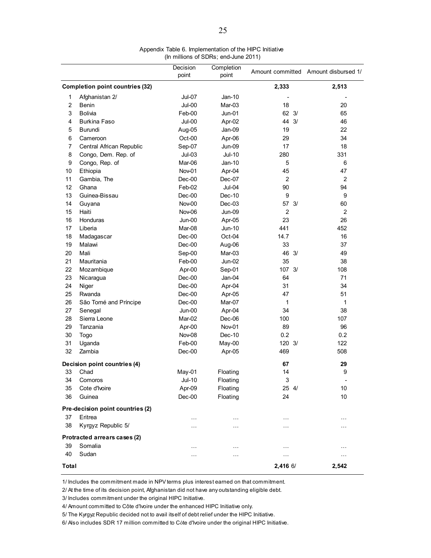| Appendix Table 6. Implementation of the HIPC Initiative |  |
|---------------------------------------------------------|--|
| (In millions of SDRs; end-June 2011)                    |  |

|                |                                        | Decision | Completion    |                |                                      |  |
|----------------|----------------------------------------|----------|---------------|----------------|--------------------------------------|--|
|                |                                        | point    | point         |                | Amount committed Amount disbursed 1/ |  |
|                | <b>Completion point countries (32)</b> |          |               | 2,333          | 2,513                                |  |
| 1              | Afghanistan 2/                         | Jul-07   | Jan-10        |                |                                      |  |
| $\overline{2}$ | <b>Benin</b>                           | Jul-00   | Mar-03        | 18             | 20                                   |  |
| 3              | <b>Bolivia</b>                         | Feb-00   | $Jun-01$      | 62 3/          | 65                                   |  |
| 4              | <b>Burkina Faso</b>                    | Jul-00   | Apr-02        | 44 3/          | 46                                   |  |
| 5              | <b>Burundi</b>                         | Aug-05   | Jan-09        | 19             | 22                                   |  |
| 6              | Cameroon                               | Oct-00   | Apr-06        | 29             | 34                                   |  |
| 7              | Central African Republic               | Sep-07   | <b>Jun-09</b> | 17             | 18                                   |  |
| 8              | Congo, Dem. Rep. of                    | $Jul-03$ | $Jul-10$      | 280            | 331                                  |  |
| 9              | Congo, Rep. of                         | Mar-06   | $Jan-10$      | 5              | 6                                    |  |
| 10             | Ethiopia                               | Nov-01   | Apr-04        | 45             | 47                                   |  |
| 11             | Gambia, The                            | Dec-00   | Dec-07        | 2              | 2                                    |  |
| 12             | Ghana                                  | Feb-02   | Jul-04        | 90             | 94                                   |  |
| 13             | Guinea-Bissau                          | Dec-00   | Dec-10        | 9              | 9                                    |  |
| 14             | Guyana                                 | Nov-00   | $Dec-03$      | 57 3/          | 60                                   |  |
| 15             | Haiti                                  | Nov-06   | <b>Jun-09</b> | $\overline{c}$ | $\overline{c}$                       |  |
| 16             | Honduras                               | Jun-00   | Apr-05        | 23             | 26                                   |  |
| 17             | Liberia                                | Mar-08   | <b>Jun-10</b> | 441            | 452                                  |  |
| 18             | Madagascar                             | Dec-00   | Oct-04        | 14.7           | 16                                   |  |
| 19             | Malawi                                 | Dec-00   | Aug-06        | 33             | 37                                   |  |
| 20             | Mali                                   | Sep-00   | Mar-03        | 46 3/          | 49                                   |  |
| 21             | Mauritania                             | Feb-00   | Jun-02        | 35             | 38                                   |  |
| 22             | Mozambique                             | Apr-00   | Sep-01        | 107 3/         | 108                                  |  |
| 23             | Nicaragua                              | $Dec-00$ | Jan-04        | 64             | 71                                   |  |
| 24             | Niger                                  | $Dec-00$ | Apr-04        | 31             | 34                                   |  |
| 25             | Rwanda                                 | Dec-00   | Apr-05        | 47             | 51                                   |  |
| 26             | São Tomé and Príncipe                  | Dec-00   | Mar-07        | 1              | 1                                    |  |
| 27             | Senegal                                | Jun-00   | Apr-04        | 34             | 38                                   |  |
| 28             | Sierra Leone                           | Mar-02   | Dec-06        | 100            | 107                                  |  |
| 29             | Tanzania                               | Apr-00   | Nov-01        | 89             | 96                                   |  |
| 30             | Togo                                   | Nov-08   | Dec-10        | 0.2            | 0.2                                  |  |
| 31             | Uganda                                 | Feb-00   | May-00        | 120 3/         | 122                                  |  |
| 32             | Zambia                                 | Dec-00   | Apr-05        | 469            | 508                                  |  |
|                | Decision point countries (4)           |          |               | 67             | 29                                   |  |
| 33             | Chad                                   | May-01   | Floating      | 14             | 9                                    |  |
| 34             | Comoros                                | $Jul-10$ | Floating      | 3              | $\overline{\phantom{a}}$             |  |
| 35             | Cote d'Ivoire                          | Apr-09   | Floating      | 25 4/          | 10                                   |  |
| 36             | Guinea                                 | $Dec-00$ | Floating      | 24             | 10                                   |  |
|                | Pre-decision point countries (2)       |          |               |                |                                      |  |
| 37             | Eritrea                                | $\cdots$ | .             | $\cdots$       | $\cdots$                             |  |
| 38             | Kyrgyz Republic 5/                     | $\cdots$ | $\cdots$      | $\cdots$       | $\cdots$                             |  |
|                | Protracted arrears cases (2)           |          |               |                |                                      |  |
| 39             | Somalia                                | .        | .             | $\cdots$       | $\cdots$                             |  |
| 40             | Sudan                                  | .        | .             | $\cdots$       | $\cdots$                             |  |
| Total          |                                        |          |               | 2,416 6/       | 2,542                                |  |

1/ Includes the commitment made in NPV terms plus interest earned on that commitment.

2/ At the time of its decision point, Afghanistan did not have any outstanding eligible debt.

3/ Includes commitment under the original HIPC Initiative.

4/ Amount committed to Côte d'Ivoire under the enhanced HIPC Initiative only.

5/ The Kyrgyz Republic decided not to avail itself of debt relief under the HIPC Initiative.

6/ Also includes SDR 17 million committed to Côte d'Ivoire under the original HIPC Initiative.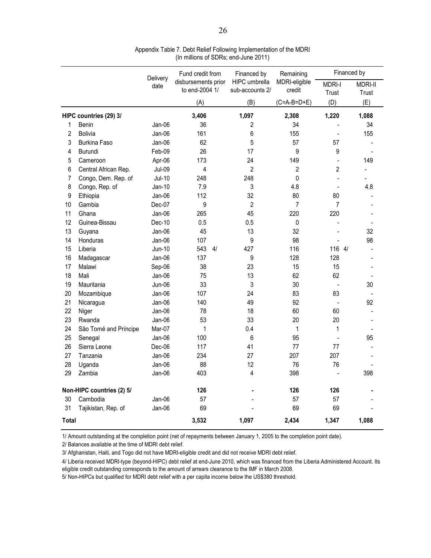|       |                           | Delivery      | Fund credit from                      | Financed by                      | Remaining               |                          | Financed by             |
|-------|---------------------------|---------------|---------------------------------------|----------------------------------|-------------------------|--------------------------|-------------------------|
|       |                           | date          | disbursements prior<br>to end-2004 1/ | HIPC umbrella<br>sub-accounts 2/ | MDRI-eligible<br>credit | <b>MDRI-I</b><br>Trust   | <b>MDRI-II</b><br>Trust |
|       |                           |               | (A)                                   | (B)                              | $(C=A-B=D+E)$           | (D)                      | (E)                     |
|       | HIPC countries (29) 3/    |               | 3,406                                 | 1,097                            | 2,308                   | 1,220                    | 1,088                   |
| 1     | Benin                     | Jan-06        | 36                                    | 2                                | 34                      |                          | 34                      |
| 2     | <b>Bolivia</b>            | Jan-06        | 161                                   | 6                                | 155                     | $\overline{a}$           | 155                     |
| 3     | Burkina Faso              | Jan-06        | 62                                    | 5                                | 57                      | 57                       |                         |
| 4     | <b>Burundi</b>            | Feb-09        | 26                                    | 17                               | 9                       | 9                        |                         |
| 5     | Cameroon                  | Apr-06        | 173                                   | 24                               | 149                     | $\overline{\phantom{a}}$ | 149                     |
| 6     | Central African Rep.      | <b>Jul-09</b> | 4                                     | 2                                | 2                       | 2                        |                         |
| 7     | Congo, Dem. Rep. of       | <b>Jul-10</b> | 248                                   | 248                              | 0                       |                          |                         |
| 8     | Congo, Rep. of            | Jan-10        | 7.9                                   | 3                                | 4.8                     |                          | 4.8                     |
| 9     | Ethiopia                  | Jan-06        | 112                                   | 32                               | 80                      | 80                       |                         |
| 10    | Gambia                    | Dec-07        | 9                                     | $\overline{2}$                   | $\overline{7}$          | $\overline{7}$           |                         |
| 11    | Ghana                     | Jan-06        | 265                                   | 45                               | 220                     | 220                      |                         |
| 12    | Guinea-Bissau             | Dec-10        | 0.5                                   | 0.5                              | 0                       | ÷,                       |                         |
| 13    | Guyana                    | Jan-06        | 45                                    | 13                               | 32                      |                          | 32                      |
| 14    | Honduras                  | Jan-06        | 107                                   | 9                                | 98                      |                          | 98                      |
| 15    | Liberia                   | Jun-10        | 543<br>4/                             | 427                              | 116                     | 116 4/                   |                         |
| 16    | Madagascar                | Jan-06        | 137                                   | 9                                | 128                     | 128                      |                         |
| 17    | Malawi                    | Sep-06        | 38                                    | 23                               | 15                      | 15                       |                         |
| 18    | Mali                      | Jan-06        | 75                                    | 13                               | 62                      | 62                       |                         |
| 19    | Mauritania                | Jun-06        | 33                                    | 3                                | 30                      |                          | 30                      |
| 20    | Mozambique                | Jan-06        | 107                                   | 24                               | 83                      | 83                       |                         |
| 21    | Nicaragua                 | Jan-06        | 140                                   | 49                               | 92                      |                          | 92                      |
| 22    | Niger                     | Jan-06        | 78                                    | 18                               | 60                      | 60                       |                         |
| 23    | Rwanda                    | Jan-06        | 53                                    | 33                               | 20                      | 20                       |                         |
| 24    | São Tomé and Príncipe     | Mar-07        | 1                                     | 0.4                              | 1                       | 1                        |                         |
| 25    | Senegal                   | Jan-06        | 100                                   | 6                                | 95                      |                          | 95                      |
| 26    | Sierra Leone              | Dec-06        | 117                                   | 41                               | 77                      | 77                       |                         |
| 27    | Tanzania                  | Jan-06        | 234                                   | 27                               | 207                     | 207                      |                         |
| 28    | Uganda                    | Jan-06        | 88                                    | 12                               | 76                      | 76                       |                         |
| 29    | Zambia                    | Jan-06        | 403                                   | 4                                | 398                     |                          | 398                     |
|       | Non-HIPC countries (2) 5/ |               | 126                                   |                                  | 126                     | 126                      |                         |
| 30    | Cambodia                  | Jan-06        | 57                                    |                                  | 57                      | 57                       |                         |
| 31    | Tajikistan, Rep. of       | Jan-06        | 69                                    |                                  | 69                      | 69                       |                         |
| Total |                           |               | 3,532                                 | 1,097                            | 2,434                   | 1,347                    | 1,088                   |

Appendix Table 7. Debt Relief Following Implementation of the MDRI (In millions of SDRs; end-June 2011)

1/ Amount outstanding at the completion point (net of repayments between January 1, 2005 to the completion point date).

2/ Balances available at the time of MDRI debt relief.

3/ Afghanistan, Haiti, and Togo did not have MDRI-eligible credit and did not receive MDRI debt relief.

4/ Liberia received MDRI-type (beyond-HIPC) debt relief at end-June 2010, which was financed from the Liberia Administered Account. Its eligible credit outstanding corresponds to the amount of arrears clearance to the IMF in March 2008.

5/ Non-HIPCs but qualified for MDRI debt relief with a per capita income below the US\$380 threshold.